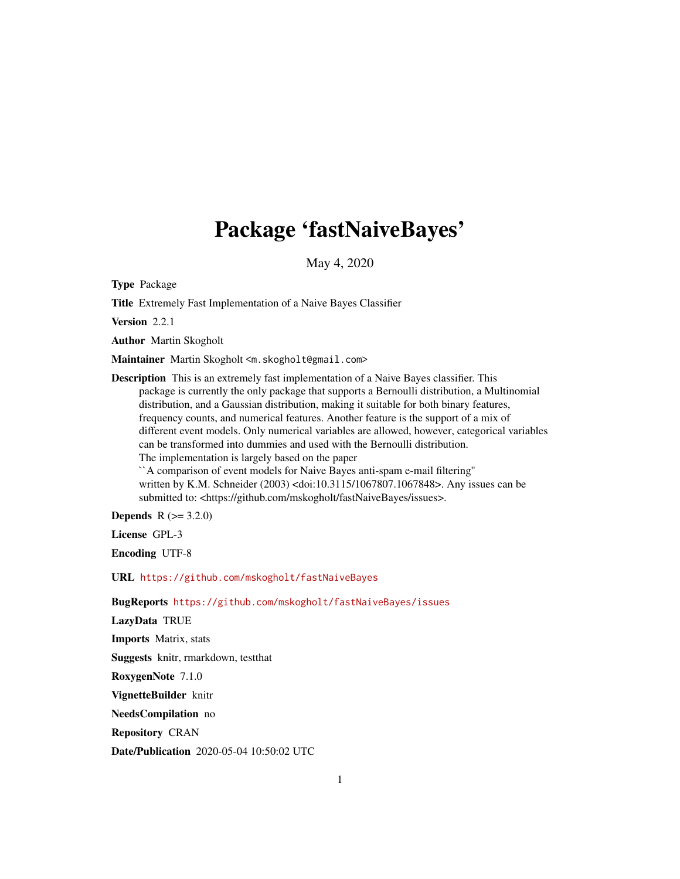# Package 'fastNaiveBayes'

May 4, 2020

Type Package

Title Extremely Fast Implementation of a Naive Bayes Classifier

Version 2.2.1

Author Martin Skogholt

Maintainer Martin Skogholt <m.skogholt@gmail.com>

Description This is an extremely fast implementation of a Naive Bayes classifier. This package is currently the only package that supports a Bernoulli distribution, a Multinomial distribution, and a Gaussian distribution, making it suitable for both binary features, frequency counts, and numerical features. Another feature is the support of a mix of different event models. Only numerical variables are allowed, however, categorical variables can be transformed into dummies and used with the Bernoulli distribution. The implementation is largely based on the paper ``A comparison of event models for Naive Bayes anti-spam e-mail filtering''

written by K.M. Schneider (2003) <doi:10.3115/1067807.1067848>. Any issues can be submitted to: <https://github.com/mskogholt/fastNaiveBayes/issues>.

**Depends**  $R (= 3.2.0)$ 

License GPL-3

Encoding UTF-8

URL <https://github.com/mskogholt/fastNaiveBayes>

BugReports <https://github.com/mskogholt/fastNaiveBayes/issues>

LazyData TRUE

Imports Matrix, stats

Suggests knitr, rmarkdown, testthat

RoxygenNote 7.1.0

VignetteBuilder knitr

NeedsCompilation no

Repository CRAN

Date/Publication 2020-05-04 10:50:02 UTC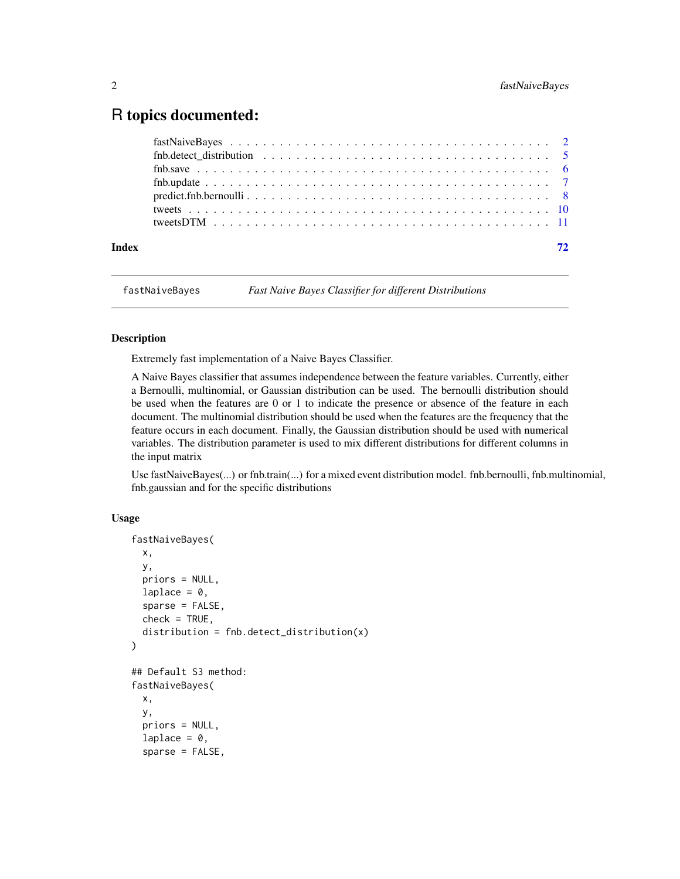# <span id="page-1-0"></span>R topics documented:

| Index | 72 |  |
|-------|----|--|
|       |    |  |
|       |    |  |
|       |    |  |
|       |    |  |
|       |    |  |
|       |    |  |
|       |    |  |

<span id="page-1-1"></span>fastNaiveBayes *Fast Naive Bayes Classifier for different Distributions*

# Description

Extremely fast implementation of a Naive Bayes Classifier.

A Naive Bayes classifier that assumes independence between the feature variables. Currently, either a Bernoulli, multinomial, or Gaussian distribution can be used. The bernoulli distribution should be used when the features are 0 or 1 to indicate the presence or absence of the feature in each document. The multinomial distribution should be used when the features are the frequency that the feature occurs in each document. Finally, the Gaussian distribution should be used with numerical variables. The distribution parameter is used to mix different distributions for different columns in the input matrix

Use fastNaiveBayes(...) or fnb.train(...) for a mixed event distribution model. fnb.bernoulli, fnb.multinomial, fnb.gaussian and for the specific distributions

#### Usage

```
fastNaiveBayes(
  x,
 y,
 priors = NULL,
  laplace = 0,
  sparse = FALSE,
  check = TRUE,distribution = fnb.detect_distribution(x)
)
## Default S3 method:
fastNaiveBayes(
  x,
 y,
 priors = NULL,
  laplace = 0,
  sparse = FALSE,
```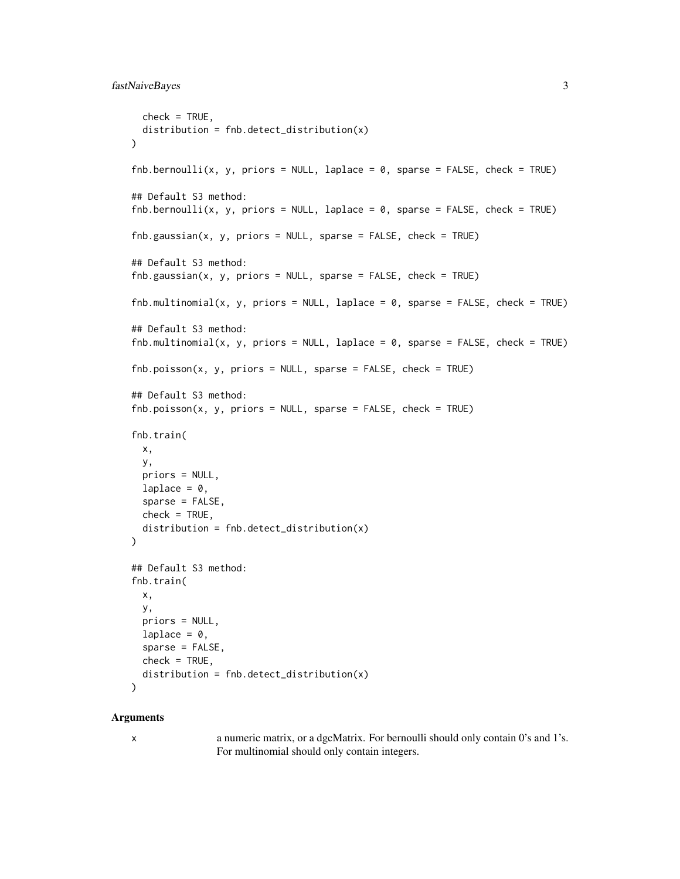# fastNaiveBayes 3

```
check = TRUE,
 distribution = fnb.detect_distribution(x)
)
fnb.bernoulli(x, y, priors = NULL, laplace = 0, sparse = FALSE, check = TRUE)## Default S3 method:
fnb.bernoulli(x, y, priors = NULL, laplace = 0, sparse = FALSE, check = TRUE)fnb.gaussian(x, y, priors = NULL, sparse = FALSE, check = TRUE)## Default S3 method:
fnb.gaussian(x, y, priors = NULL, sparse = FALSE, check = TRUE)fnb.multinomial(x, y, priors = NULL, laplace = 0, sparse = FALSE, check = TRUE)## Default S3 method:
fnb.multinomial(x, y, priors = NULL, laplace = 0, sparse = FALSE, check = TRUE)fnb.poisson(x, y, priors = NULL, sparse = FALSE, check = TRUE)## Default S3 method:
fnb.poisson(x, y, priors = NULL, sparse = FALSE, check = TRUE)fnb.train(
 x,
 y,
 priors = NULL,
 laplace = 0,
  sparse = FALSE,check = TRUE,distribution = fnb.detect_distribution(x)
\mathcal{L}## Default S3 method:
fnb.train(
 x,
 y,
 priors = NULL,
  laplace = 0,
  sparse = FALSE,
 check = TRUE,distribution = fnb.detect_distribution(x)
)
```
#### Arguments

x a numeric matrix, or a dgcMatrix. For bernoulli should only contain 0's and 1's. For multinomial should only contain integers.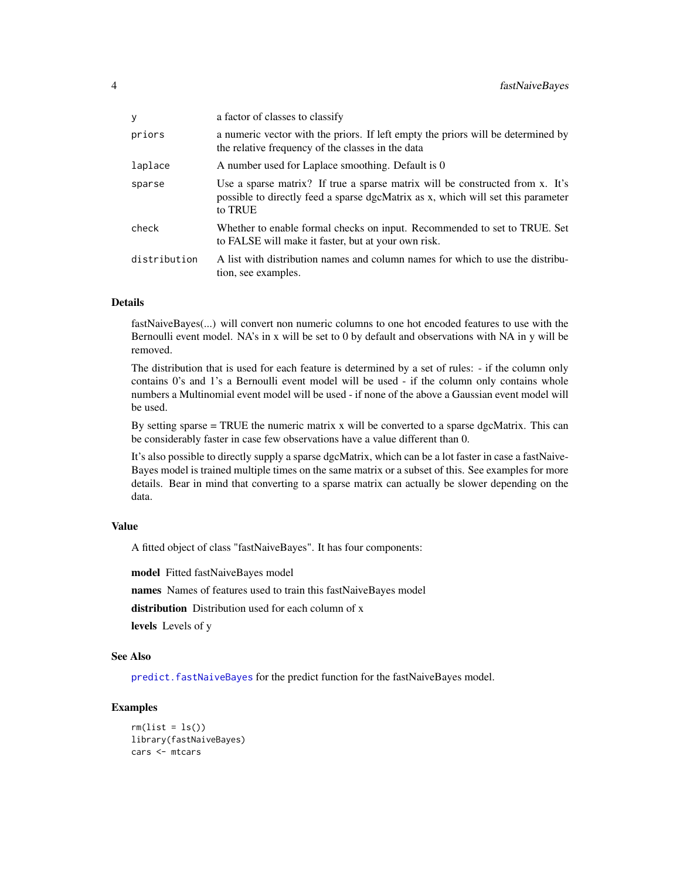| У            | a factor of classes to classify                                                                                                                                              |
|--------------|------------------------------------------------------------------------------------------------------------------------------------------------------------------------------|
| priors       | a numeric vector with the priors. If left empty the priors will be determined by<br>the relative frequency of the classes in the data                                        |
| laplace      | A number used for Laplace smoothing. Default is 0                                                                                                                            |
| sparse       | Use a sparse matrix? If true a sparse matrix will be constructed from x. It's<br>possible to directly feed a sparse dgcMatrix as x, which will set this parameter<br>to TRUE |
| check        | Whether to enable formal checks on input. Recommended to set to TRUE. Set<br>to FALSE will make it faster, but at your own risk.                                             |
| distribution | A list with distribution names and column names for which to use the distribu-<br>tion, see examples.                                                                        |

#### Details

fastNaiveBayes(...) will convert non numeric columns to one hot encoded features to use with the Bernoulli event model. NA's in x will be set to 0 by default and observations with NA in y will be removed.

The distribution that is used for each feature is determined by a set of rules: - if the column only contains 0's and 1's a Bernoulli event model will be used - if the column only contains whole numbers a Multinomial event model will be used - if none of the above a Gaussian event model will be used.

By setting sparse = TRUE the numeric matrix x will be converted to a sparse dgcMatrix. This can be considerably faster in case few observations have a value different than 0.

It's also possible to directly supply a sparse dgcMatrix, which can be a lot faster in case a fastNaive-Bayes model is trained multiple times on the same matrix or a subset of this. See examples for more details. Bear in mind that converting to a sparse matrix can actually be slower depending on the data.

#### Value

A fitted object of class "fastNaiveBayes". It has four components:

model Fitted fastNaiveBayes model

names Names of features used to train this fastNaiveBayes model

distribution Distribution used for each column of x

levels Levels of y

#### See Also

[predict.fastNaiveBayes](#page-7-1) for the predict function for the fastNaiveBayes model.

# Examples

```
rm(list = ls())library(fastNaiveBayes)
cars <- mtcars
```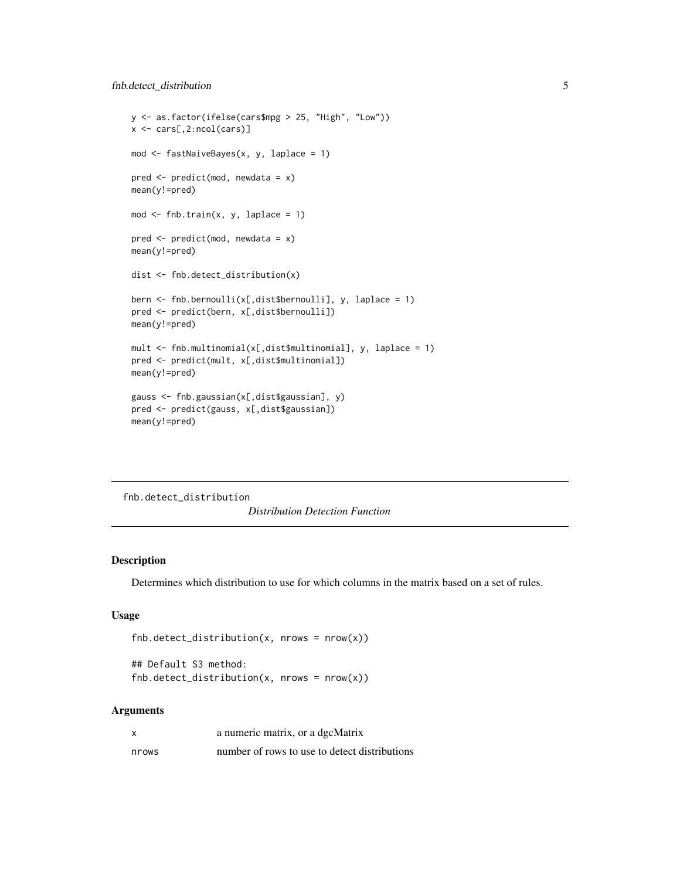# <span id="page-4-0"></span>fnb.detect\_distribution 5

```
y <- as.factor(ifelse(cars$mpg > 25, "High", "Low"))
x <- cars[,2:ncol(cars)]
mod <- fastNaiveBayes(x, y, laplace = 1)
pred <- predict(mod, newdata = x)
mean(y!=pred)
mod \leq fnb.train(x, y, laplace = 1)
pred <- predict(mod, newdata = x)
mean(y!=pred)
dist <- fnb.detect_distribution(x)
bern <- fnb.bernoulli(x[,dist$bernoulli], y, laplace = 1)
pred <- predict(bern, x[,dist$bernoulli])
mean(y!=pred)
mult <- fnb.multinomial(x[,dist$multinomial], y, laplace = 1)
pred <- predict(mult, x[,dist$multinomial])
mean(y!=pred)
gauss <- fnb.gaussian(x[,dist$gaussian], y)
pred <- predict(gauss, x[,dist$gaussian])
mean(y!=pred)
```
fnb.detect\_distribution

*Distribution Detection Function*

# Description

Determines which distribution to use for which columns in the matrix based on a set of rules.

# Usage

```
fnb.detect_distribution(x, nrows = nrow(x))
```

```
## Default S3 method:
fnb.detect\_distribution(x, nrows = nrow(x))
```
#### Arguments

| X     | a numeric matrix, or a dgcMatrix              |
|-------|-----------------------------------------------|
| nrows | number of rows to use to detect distributions |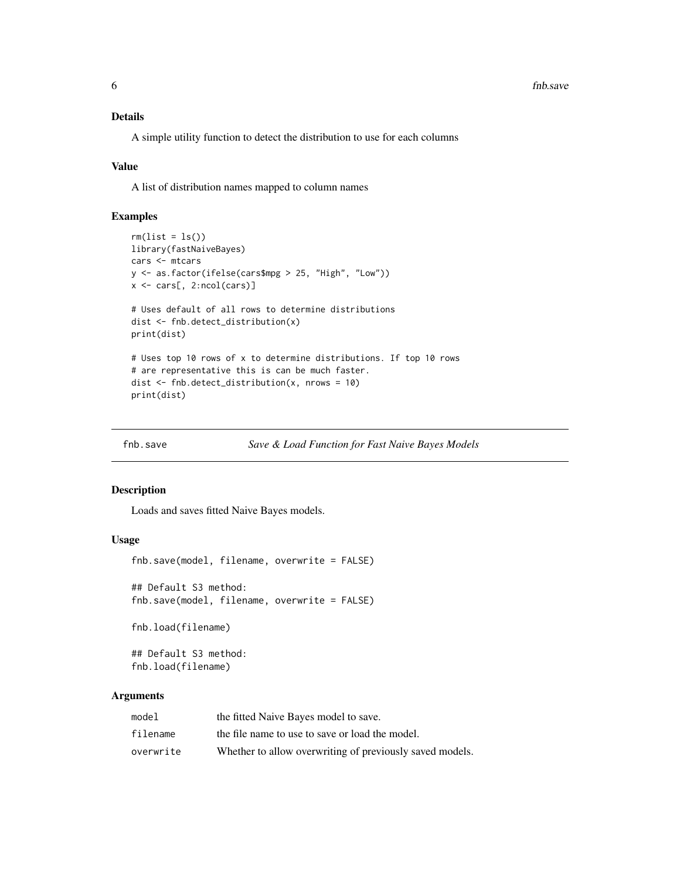# <span id="page-5-0"></span>Details

A simple utility function to detect the distribution to use for each columns

#### Value

A list of distribution names mapped to column names

# Examples

```
rm(list = ls())library(fastNaiveBayes)
cars <- mtcars
y <- as.factor(ifelse(cars$mpg > 25, "High", "Low"))
x <- cars[, 2:ncol(cars)]
# Uses default of all rows to determine distributions
dist <- fnb.detect_distribution(x)
print(dist)
# Uses top 10 rows of x to determine distributions. If top 10 rows
# are representative this is can be much faster.
dist <- fnb.detect_distribution(x, nrows = 10)
print(dist)
```
fnb.save *Save & Load Function for Fast Naive Bayes Models*

#### Description

Loads and saves fitted Naive Bayes models.

#### Usage

fnb.save(model, filename, overwrite = FALSE)

## Default S3 method: fnb.save(model, filename, overwrite = FALSE)

fnb.load(filename)

## Default S3 method: fnb.load(filename)

#### Arguments

| model     | the fitted Naive Bayes model to save.                    |
|-----------|----------------------------------------------------------|
| filename  | the file name to use to save or load the model.          |
| overwrite | Whether to allow overwriting of previously saved models. |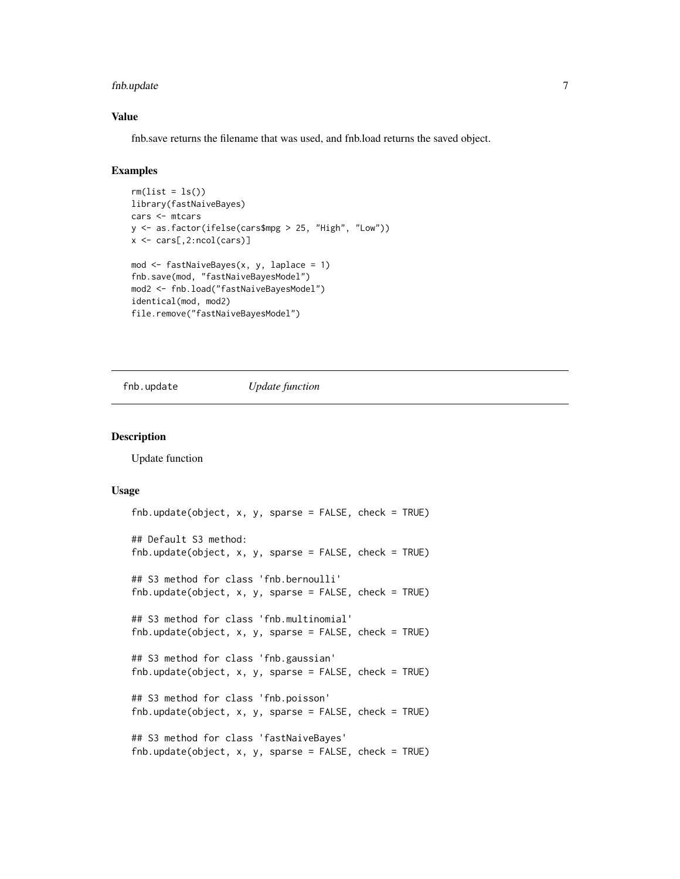# <span id="page-6-0"></span>fnb.update 7

## Value

fnb.save returns the filename that was used, and fnb.load returns the saved object.

# Examples

```
rm(list = ls())library(fastNaiveBayes)
cars <- mtcars
y <- as.factor(ifelse(cars$mpg > 25, "High", "Low"))
x <- cars[,2:ncol(cars)]
mod <- fastNaiveBayes(x, y, laplace = 1)
fnb.save(mod, "fastNaiveBayesModel")
mod2 <- fnb.load("fastNaiveBayesModel")
identical(mod, mod2)
file.remove("fastNaiveBayesModel")
```
fnb.update *Update function*

#### Description

Update function

#### Usage

```
fnb.update(object, x, y, sparse = FALSE, check = TRUE)## Default S3 method:
fnb.update(object, x, y, sparse = FALSE, check = TRUE)## S3 method for class 'fnb.bernoulli'
fnb.update(object, x, y, sparse = FALSE, check = TRUE)## S3 method for class 'fnb.multinomial'
fnb.update(object, x, y, sparse = FALSE, check = TRUE)
## S3 method for class 'fnb.gaussian'
fnb.update(object, x, y, sparse = FALSE, check = TRUE)## S3 method for class 'fnb.poisson'
fnb.update(object, x, y, sparse = FALSE, check = TRUE)
## S3 method for class 'fastNaiveBayes'
fnb.update(object, x, y, sparse = FALSE, check = TRUE)
```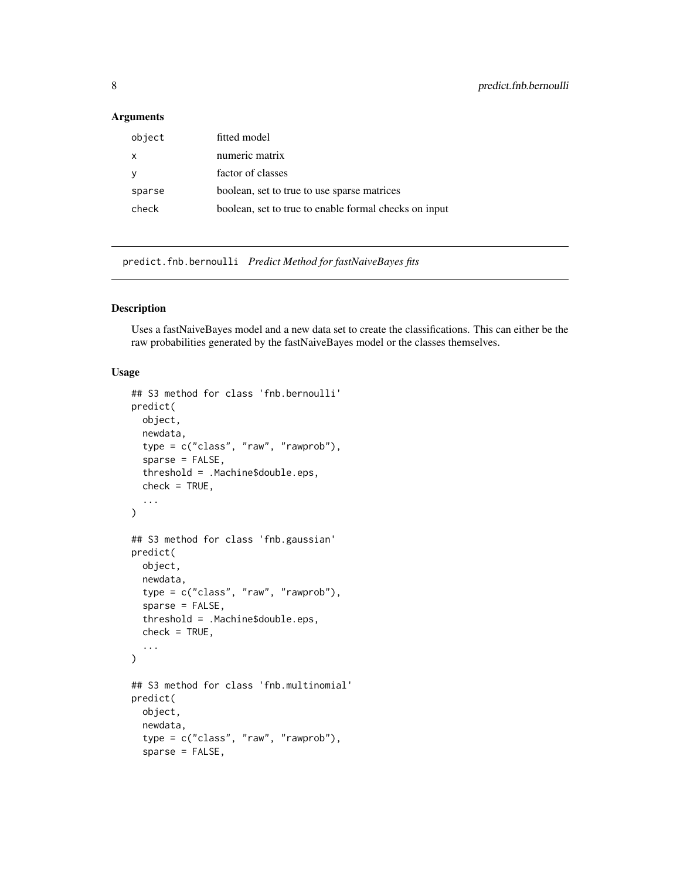# <span id="page-7-0"></span>Arguments

| object | fitted model                                          |
|--------|-------------------------------------------------------|
| x      | numeric matrix                                        |
|        | factor of classes                                     |
| sparse | boolean, set to true to use sparse matrices           |
| check  | boolean, set to true to enable formal checks on input |
|        |                                                       |

predict.fnb.bernoulli *Predict Method for fastNaiveBayes fits*

# <span id="page-7-1"></span>Description

Uses a fastNaiveBayes model and a new data set to create the classifications. This can either be the raw probabilities generated by the fastNaiveBayes model or the classes themselves.

# Usage

```
## S3 method for class 'fnb.bernoulli'
predict(
 object,
  newdata,
  type = c("class", "raw", "rawprob"),
  sparse = FALSE,
  threshold = .Machine$double.eps,
  check = TRUE,...
)
## S3 method for class 'fnb.gaussian'
predict(
 object,
  newdata,
  type = c("class", "raw", "rawprob"),
  sparse = FALSE,
  threshold = .Machine$double.eps,
  check = TRUE,...
)
## S3 method for class 'fnb.multinomial'
predict(
 object,
  newdata,
  type = c("class", "raw", "rawprob"),
  sparse = FALSE,
```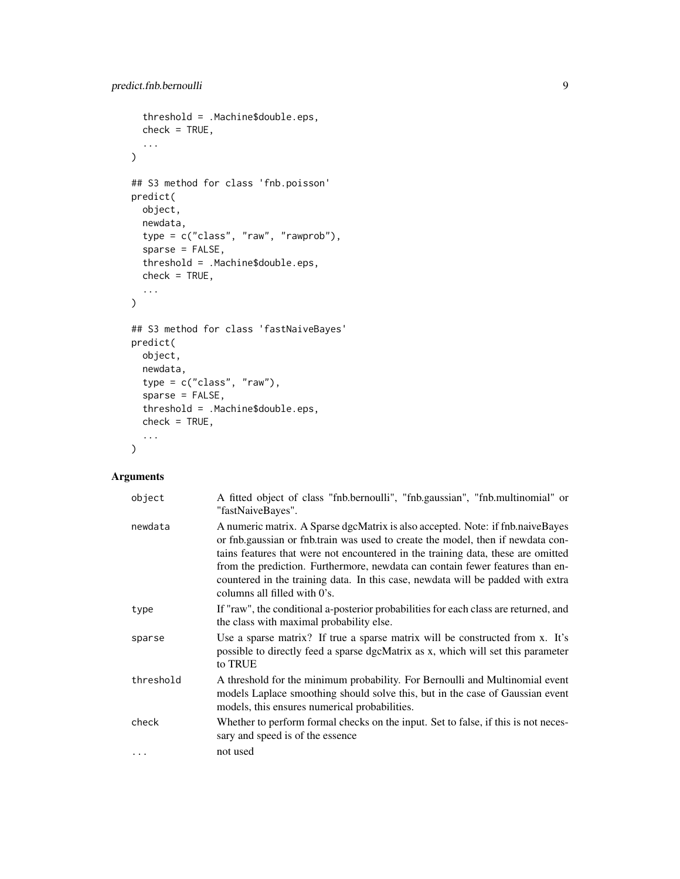```
threshold = .Machine$double.eps,
 check = TRUE,...
\mathcal{L}## S3 method for class 'fnb.poisson'
predict(
 object,
 newdata,
  type = c("class", "raw", "rawprob"),
  sparse = FALSE,
  threshold = .Machine$double.eps,
 check = TRUE,...
\mathcal{L}## S3 method for class 'fastNaiveBayes'
predict(
 object,
 newdata,
 type = c("class", "raw"),
  sparse = FALSE,threshold = .Machine$double.eps,
 check = TRUE,...
)
```
# Arguments

| object    | A fitted object of class "fnb.bernoulli", "fnb.gaussian", "fnb.multinomial" or<br>"fastNaiveBayes".                                                                                                                                                                                                                                                                                                                                                         |
|-----------|-------------------------------------------------------------------------------------------------------------------------------------------------------------------------------------------------------------------------------------------------------------------------------------------------------------------------------------------------------------------------------------------------------------------------------------------------------------|
| newdata   | A numeric matrix. A Sparse dgcMatrix is also accepted. Note: if find naive Bayes<br>or fnb.gaussian or fnb.train was used to create the model, then if newdata con-<br>tains features that were not encountered in the training data, these are omitted<br>from the prediction. Furthermore, newdata can contain fewer features than en-<br>countered in the training data. In this case, newdata will be padded with extra<br>columns all filled with 0's. |
| type      | If "raw", the conditional a-posterior probabilities for each class are returned, and<br>the class with maximal probability else.                                                                                                                                                                                                                                                                                                                            |
| sparse    | Use a sparse matrix? If true a sparse matrix will be constructed from x. It's<br>possible to directly feed a sparse dgcMatrix as x, which will set this parameter<br>to TRUE                                                                                                                                                                                                                                                                                |
| threshold | A threshold for the minimum probability. For Bernoulli and Multinomial event<br>models Laplace smoothing should solve this, but in the case of Gaussian event<br>models, this ensures numerical probabilities.                                                                                                                                                                                                                                              |
| check     | Whether to perform formal checks on the input. Set to false, if this is not neces-<br>sary and speed is of the essence                                                                                                                                                                                                                                                                                                                                      |
| .         | not used                                                                                                                                                                                                                                                                                                                                                                                                                                                    |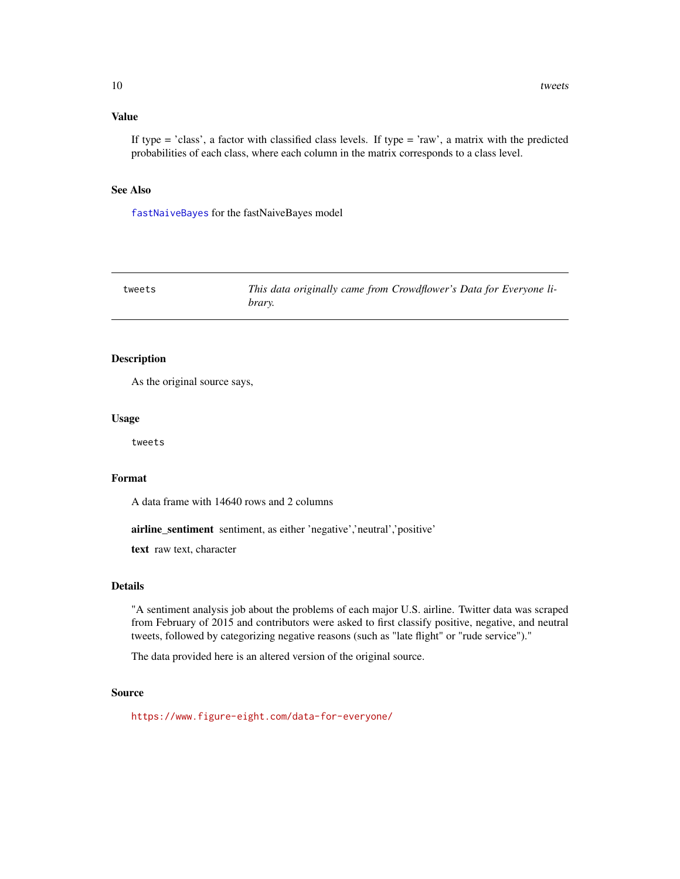## <span id="page-9-0"></span>Value

If type  $=$  'class', a factor with classified class levels. If type  $=$  'raw', a matrix with the predicted probabilities of each class, where each column in the matrix corresponds to a class level.

# See Also

[fastNaiveBayes](#page-1-1) for the fastNaiveBayes model

| tweets | This data originally came from Crowdflower's Data for Everyone li- |
|--------|--------------------------------------------------------------------|
|        | brary.                                                             |

### Description

As the original source says,

#### Usage

tweets

#### Format

A data frame with 14640 rows and 2 columns

airline\_sentiment sentiment, as either 'negative','neutral','positive'

text raw text, character

#### Details

"A sentiment analysis job about the problems of each major U.S. airline. Twitter data was scraped from February of 2015 and contributors were asked to first classify positive, negative, and neutral tweets, followed by categorizing negative reasons (such as "late flight" or "rude service")."

The data provided here is an altered version of the original source.

#### Source

<https://www.figure-eight.com/data-for-everyone/>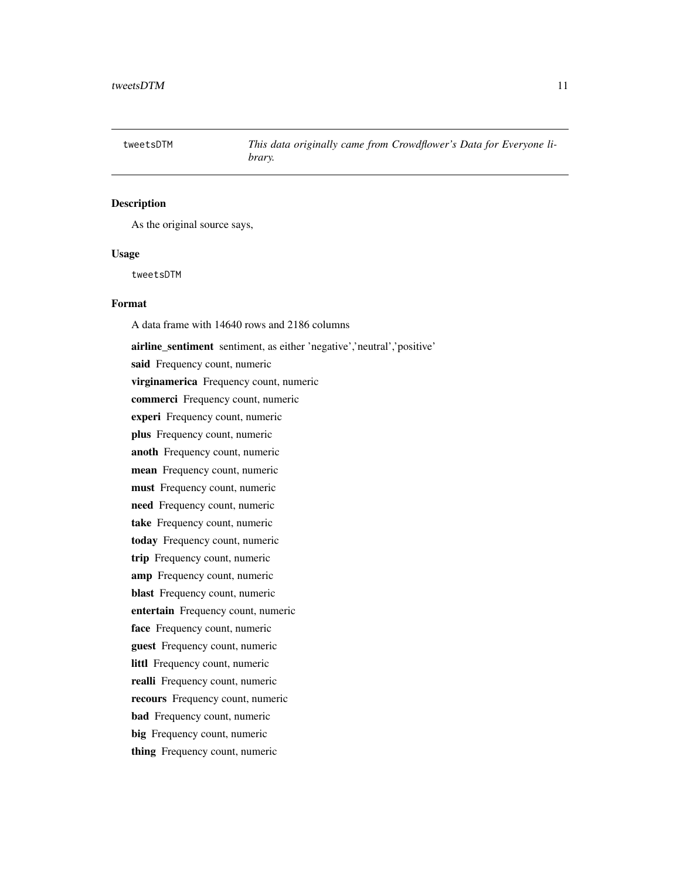<span id="page-10-0"></span>

#### Description

As the original source says,

#### Usage

tweetsDTM

### Format

A data frame with 14640 rows and 2186 columns

airline\_sentiment sentiment, as either 'negative','neutral','positive' said Frequency count, numeric virginamerica Frequency count, numeric commerci Frequency count, numeric experi Frequency count, numeric plus Frequency count, numeric anoth Frequency count, numeric mean Frequency count, numeric must Frequency count, numeric need Frequency count, numeric take Frequency count, numeric today Frequency count, numeric trip Frequency count, numeric amp Frequency count, numeric blast Frequency count, numeric entertain Frequency count, numeric face Frequency count, numeric guest Frequency count, numeric littl Frequency count, numeric realli Frequency count, numeric recours Frequency count, numeric bad Frequency count, numeric big Frequency count, numeric thing Frequency count, numeric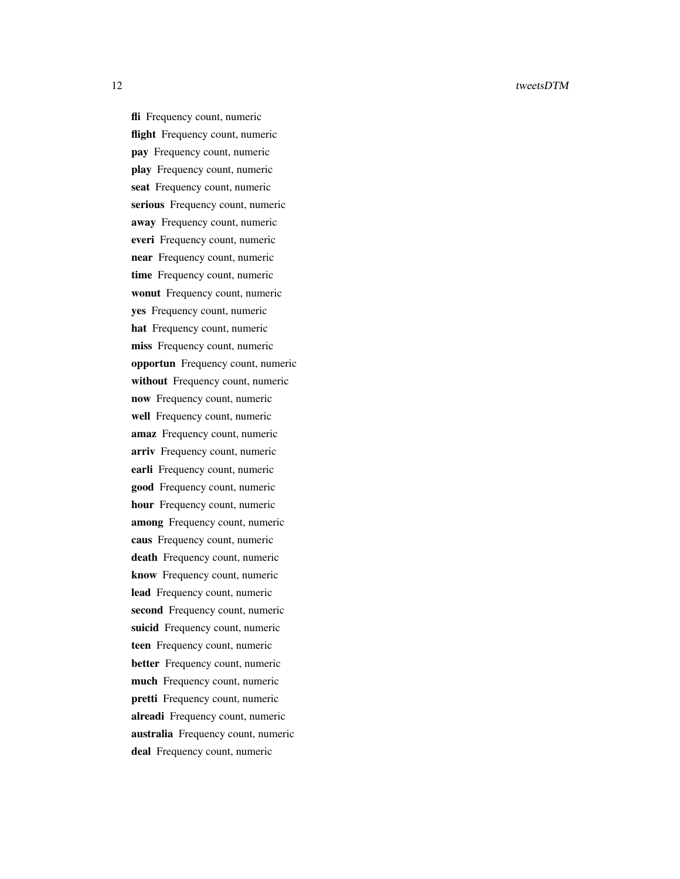fli Frequency count, numeric flight Frequency count, numeric pay Frequency count, numeric play Frequency count, numeric seat Frequency count, numeric serious Frequency count, numeric away Frequency count, numeric everi Frequency count, numeric near Frequency count, numeric time Frequency count, numeric wonut Frequency count, numeric yes Frequency count, numeric hat Frequency count, numeric miss Frequency count, numeric opportun Frequency count, numeric without Frequency count, numeric now Frequency count, numeric well Frequency count, numeric amaz Frequency count, numeric arriv Frequency count, numeric earli Frequency count, numeric good Frequency count, numeric hour Frequency count, numeric among Frequency count, numeric caus Frequency count, numeric death Frequency count, numeric know Frequency count, numeric lead Frequency count, numeric second Frequency count, numeric suicid Frequency count, numeric teen Frequency count, numeric better Frequency count, numeric much Frequency count, numeric pretti Frequency count, numeric alreadi Frequency count, numeric australia Frequency count, numeric deal Frequency count, numeric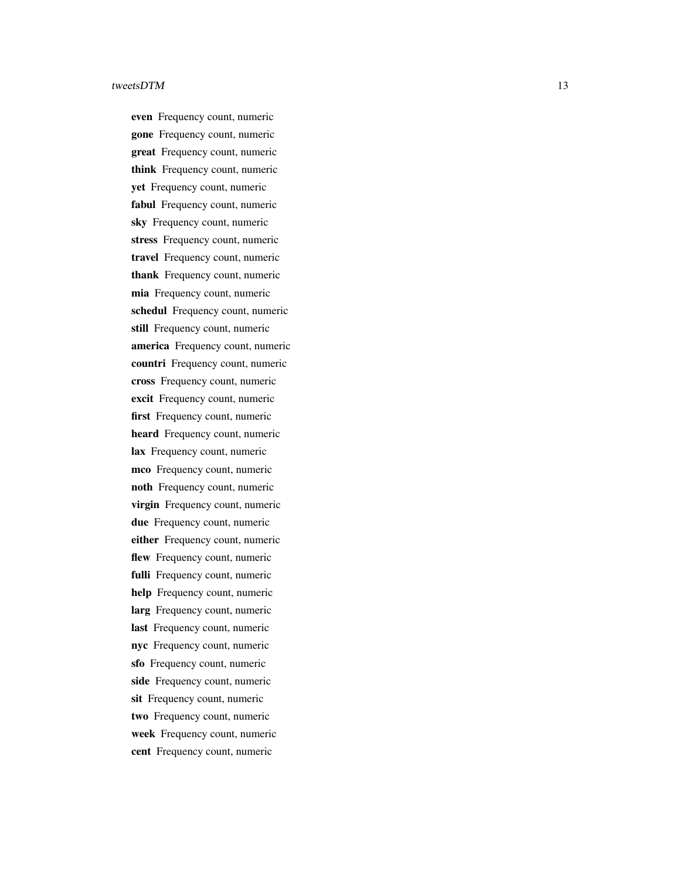even Frequency count, numeric gone Frequency count, numeric great Frequency count, numeric think Frequency count, numeric yet Frequency count, numeric fabul Frequency count, numeric sky Frequency count, numeric stress Frequency count, numeric travel Frequency count, numeric thank Frequency count, numeric mia Frequency count, numeric schedul Frequency count, numeric still Frequency count, numeric america Frequency count, numeric countri Frequency count, numeric cross Frequency count, numeric excit Frequency count, numeric first Frequency count, numeric heard Frequency count, numeric lax Frequency count, numeric mco Frequency count, numeric noth Frequency count, numeric virgin Frequency count, numeric due Frequency count, numeric either Frequency count, numeric flew Frequency count, numeric fulli Frequency count, numeric help Frequency count, numeric larg Frequency count, numeric last Frequency count, numeric nyc Frequency count, numeric sfo Frequency count, numeric side Frequency count, numeric sit Frequency count, numeric two Frequency count, numeric week Frequency count, numeric cent Frequency count, numeric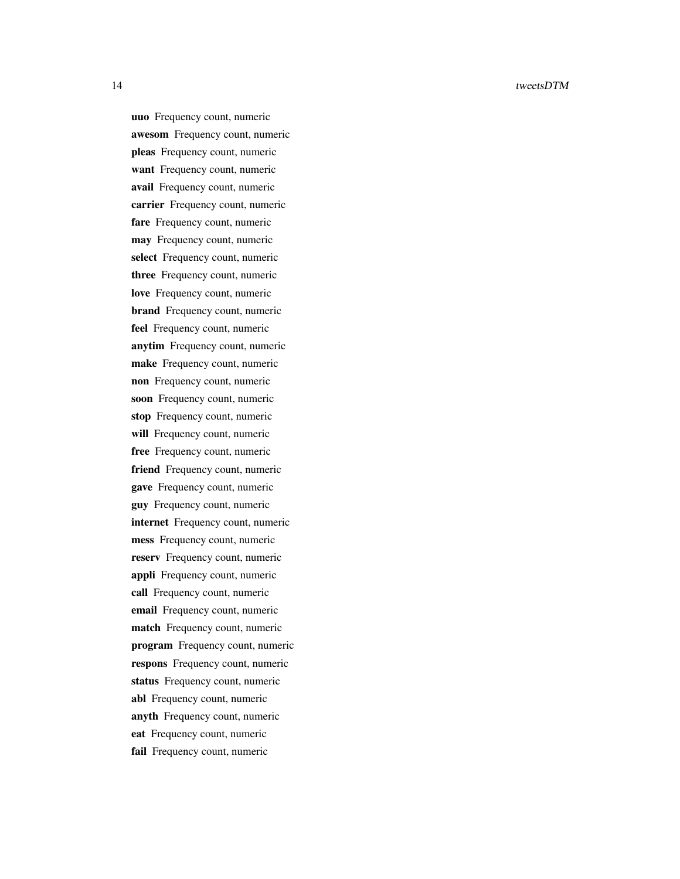uuo Frequency count, numeric awesom Frequency count, numeric pleas Frequency count, numeric want Frequency count, numeric avail Frequency count, numeric carrier Frequency count, numeric fare Frequency count, numeric may Frequency count, numeric select Frequency count, numeric three Frequency count, numeric love Frequency count, numeric brand Frequency count, numeric feel Frequency count, numeric anytim Frequency count, numeric make Frequency count, numeric non Frequency count, numeric soon Frequency count, numeric stop Frequency count, numeric will Frequency count, numeric free Frequency count, numeric friend Frequency count, numeric gave Frequency count, numeric guy Frequency count, numeric internet Frequency count, numeric mess Frequency count, numeric reserv Frequency count, numeric appli Frequency count, numeric call Frequency count, numeric email Frequency count, numeric match Frequency count, numeric program Frequency count, numeric respons Frequency count, numeric status Frequency count, numeric abl Frequency count, numeric anyth Frequency count, numeric eat Frequency count, numeric fail Frequency count, numeric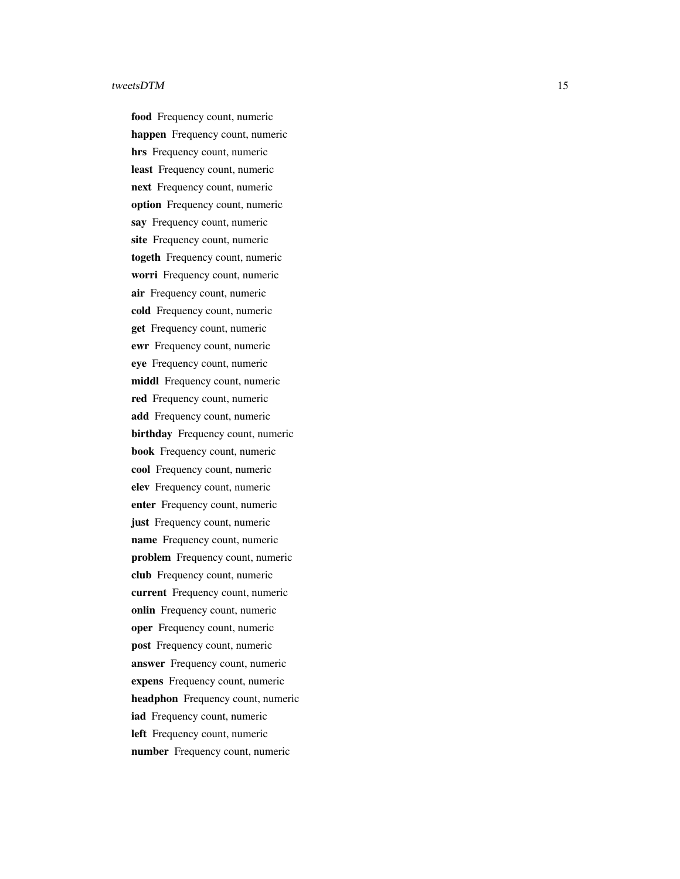food Frequency count, numeric happen Frequency count, numeric hrs Frequency count, numeric least Frequency count, numeric next Frequency count, numeric option Frequency count, numeric say Frequency count, numeric site Frequency count, numeric togeth Frequency count, numeric worri Frequency count, numeric air Frequency count, numeric cold Frequency count, numeric get Frequency count, numeric ewr Frequency count, numeric eye Frequency count, numeric middl Frequency count, numeric red Frequency count, numeric add Frequency count, numeric birthday Frequency count, numeric book Frequency count, numeric cool Frequency count, numeric elev Frequency count, numeric enter Frequency count, numeric just Frequency count, numeric name Frequency count, numeric problem Frequency count, numeric club Frequency count, numeric current Frequency count, numeric onlin Frequency count, numeric oper Frequency count, numeric post Frequency count, numeric answer Frequency count, numeric expens Frequency count, numeric headphon Frequency count, numeric iad Frequency count, numeric left Frequency count, numeric number Frequency count, numeric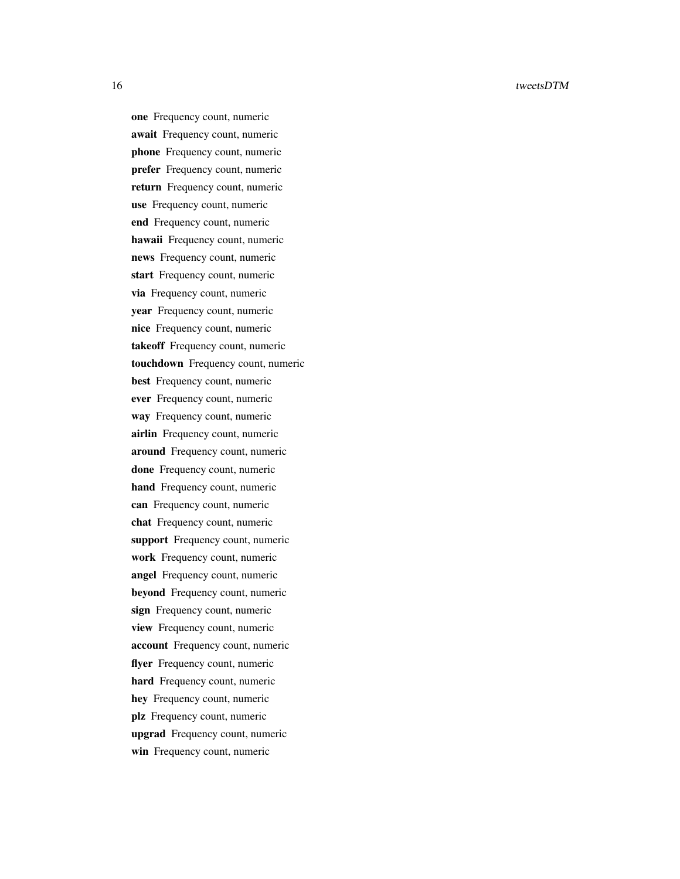one Frequency count, numeric await Frequency count, numeric phone Frequency count, numeric prefer Frequency count, numeric return Frequency count, numeric use Frequency count, numeric end Frequency count, numeric hawaii Frequency count, numeric news Frequency count, numeric start Frequency count, numeric via Frequency count, numeric year Frequency count, numeric nice Frequency count, numeric takeoff Frequency count, numeric touchdown Frequency count, numeric best Frequency count, numeric ever Frequency count, numeric way Frequency count, numeric airlin Frequency count, numeric around Frequency count, numeric done Frequency count, numeric hand Frequency count, numeric can Frequency count, numeric chat Frequency count, numeric support Frequency count, numeric work Frequency count, numeric angel Frequency count, numeric beyond Frequency count, numeric sign Frequency count, numeric view Frequency count, numeric account Frequency count, numeric flyer Frequency count, numeric hard Frequency count, numeric hey Frequency count, numeric plz Frequency count, numeric upgrad Frequency count, numeric win Frequency count, numeric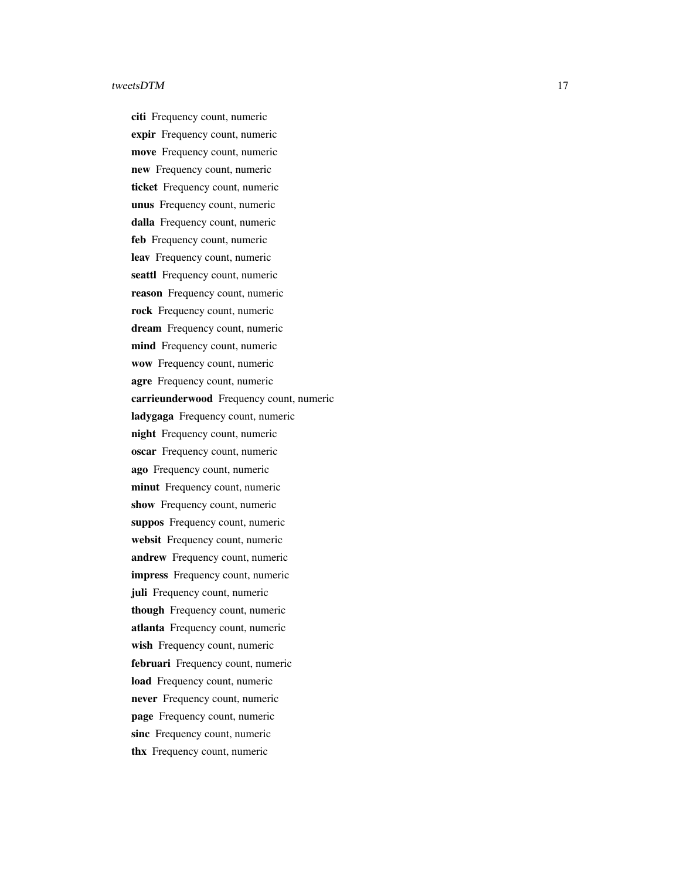citi Frequency count, numeric expir Frequency count, numeric move Frequency count, numeric new Frequency count, numeric ticket Frequency count, numeric unus Frequency count, numeric dalla Frequency count, numeric feb Frequency count, numeric leav Frequency count, numeric seattl Frequency count, numeric reason Frequency count, numeric rock Frequency count, numeric dream Frequency count, numeric mind Frequency count, numeric wow Frequency count, numeric agre Frequency count, numeric carrieunderwood Frequency count, numeric ladygaga Frequency count, numeric night Frequency count, numeric oscar Frequency count, numeric ago Frequency count, numeric minut Frequency count, numeric show Frequency count, numeric suppos Frequency count, numeric websit Frequency count, numeric andrew Frequency count, numeric impress Frequency count, numeric juli Frequency count, numeric though Frequency count, numeric atlanta Frequency count, numeric wish Frequency count, numeric februari Frequency count, numeric load Frequency count, numeric never Frequency count, numeric page Frequency count, numeric sinc Frequency count, numeric thx Frequency count, numeric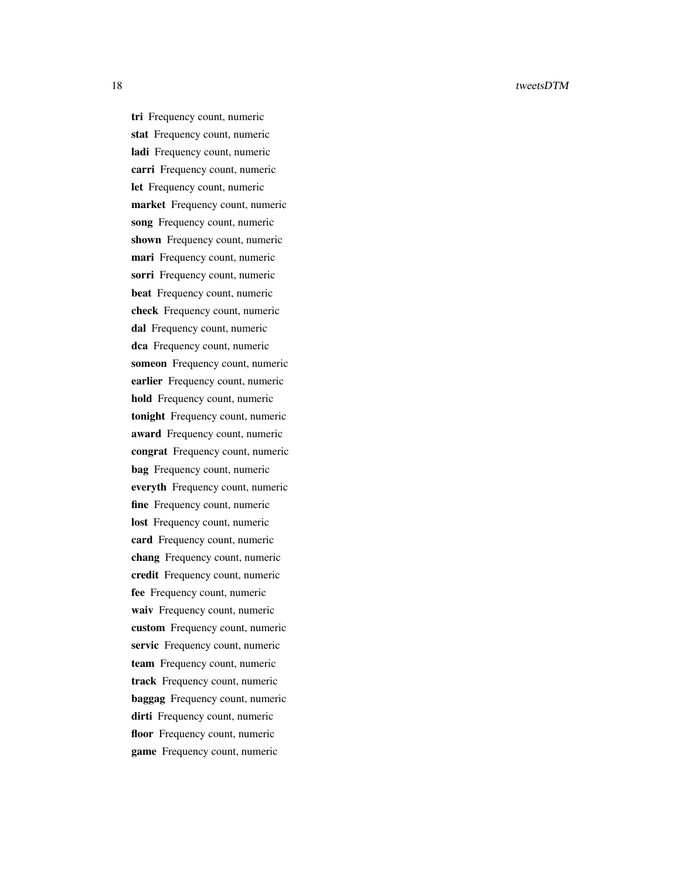tri Frequency count, numeric stat Frequency count, numeric ladi Frequency count, numeric carri Frequency count, numeric let Frequency count, numeric market Frequency count, numeric song Frequency count, numeric shown Frequency count, numeric mari Frequency count, numeric sorri Frequency count, numeric beat Frequency count, numeric check Frequency count, numeric dal Frequency count, numeric dca Frequency count, numeric someon Frequency count, numeric earlier Frequency count, numeric hold Frequency count, numeric tonight Frequency count, numeric award Frequency count, numeric congrat Frequency count, numeric bag Frequency count, numeric everyth Frequency count, numeric fine Frequency count, numeric lost Frequency count, numeric card Frequency count, numeric chang Frequency count, numeric credit Frequency count, numeric fee Frequency count, numeric waiv Frequency count, numeric custom Frequency count, numeric servic Frequency count, numeric team Frequency count, numeric track Frequency count, numeric baggag Frequency count, numeric dirti Frequency count, numeric floor Frequency count, numeric game Frequency count, numeric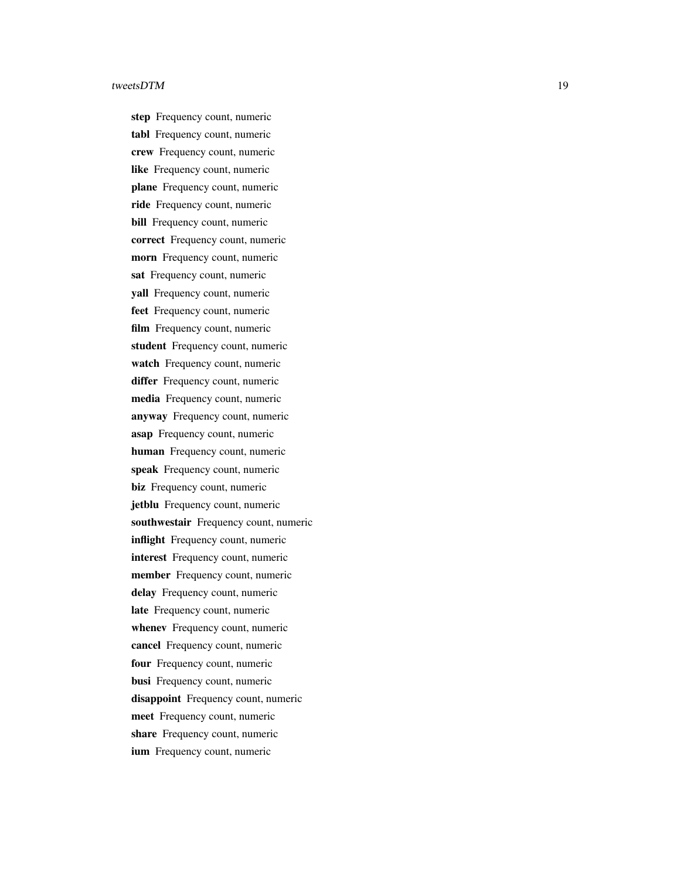step Frequency count, numeric tabl Frequency count, numeric crew Frequency count, numeric like Frequency count, numeric plane Frequency count, numeric ride Frequency count, numeric bill Frequency count, numeric correct Frequency count, numeric morn Frequency count, numeric sat Frequency count, numeric yall Frequency count, numeric feet Frequency count, numeric film Frequency count, numeric student Frequency count, numeric watch Frequency count, numeric differ Frequency count, numeric media Frequency count, numeric anyway Frequency count, numeric asap Frequency count, numeric human Frequency count, numeric speak Frequency count, numeric biz Frequency count, numeric jetblu Frequency count, numeric southwestair Frequency count, numeric inflight Frequency count, numeric interest Frequency count, numeric member Frequency count, numeric delay Frequency count, numeric late Frequency count, numeric whenev Frequency count, numeric cancel Frequency count, numeric four Frequency count, numeric busi Frequency count, numeric disappoint Frequency count, numeric meet Frequency count, numeric share Frequency count, numeric ium Frequency count, numeric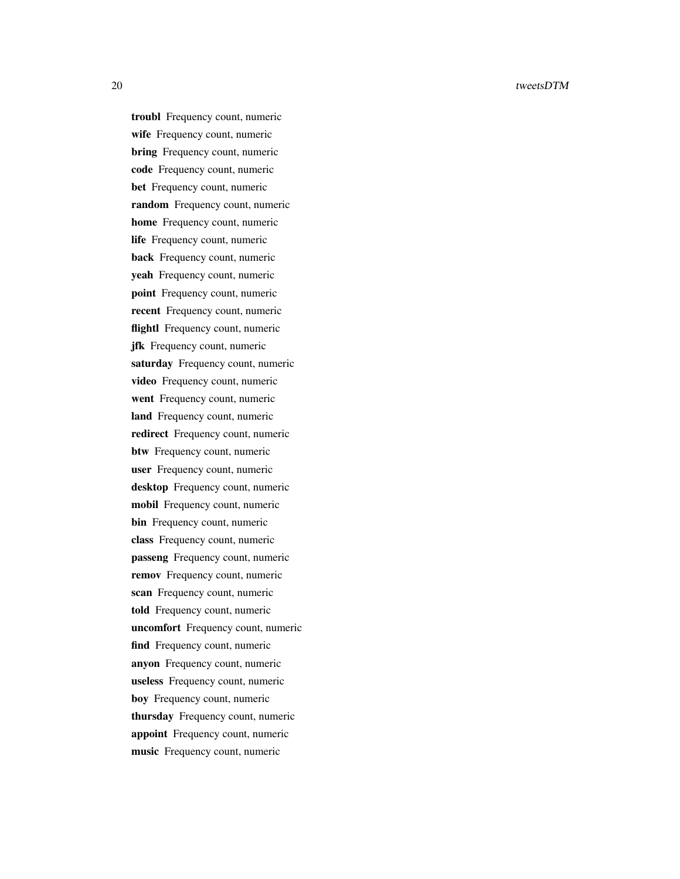troubl Frequency count, numeric wife Frequency count, numeric bring Frequency count, numeric code Frequency count, numeric bet Frequency count, numeric random Frequency count, numeric home Frequency count, numeric life Frequency count, numeric back Frequency count, numeric yeah Frequency count, numeric point Frequency count, numeric recent Frequency count, numeric flightl Frequency count, numeric jfk Frequency count, numeric saturday Frequency count, numeric video Frequency count, numeric went Frequency count, numeric land Frequency count, numeric redirect Frequency count, numeric btw Frequency count, numeric user Frequency count, numeric desktop Frequency count, numeric mobil Frequency count, numeric bin Frequency count, numeric class Frequency count, numeric passeng Frequency count, numeric remov Frequency count, numeric scan Frequency count, numeric told Frequency count, numeric uncomfort Frequency count, numeric find Frequency count, numeric anyon Frequency count, numeric useless Frequency count, numeric boy Frequency count, numeric thursday Frequency count, numeric appoint Frequency count, numeric music Frequency count, numeric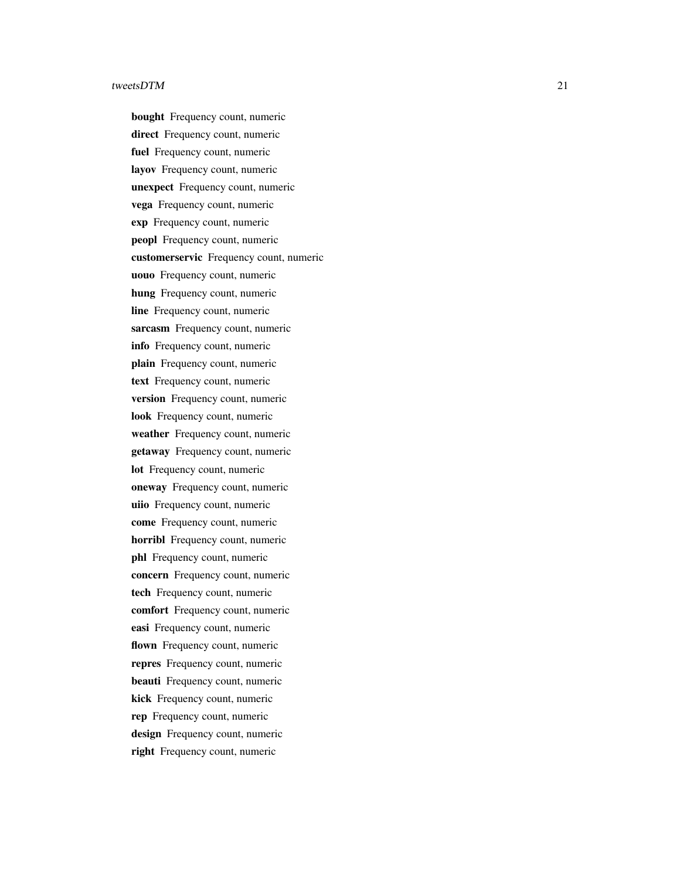bought Frequency count, numeric direct Frequency count, numeric fuel Frequency count, numeric layov Frequency count, numeric unexpect Frequency count, numeric vega Frequency count, numeric exp Frequency count, numeric peopl Frequency count, numeric customerservic Frequency count, numeric uouo Frequency count, numeric hung Frequency count, numeric line Frequency count, numeric sarcasm Frequency count, numeric info Frequency count, numeric plain Frequency count, numeric text Frequency count, numeric version Frequency count, numeric look Frequency count, numeric weather Frequency count, numeric getaway Frequency count, numeric lot Frequency count, numeric oneway Frequency count, numeric uiio Frequency count, numeric come Frequency count, numeric horribl Frequency count, numeric phl Frequency count, numeric concern Frequency count, numeric tech Frequency count, numeric comfort Frequency count, numeric easi Frequency count, numeric flown Frequency count, numeric repres Frequency count, numeric beauti Frequency count, numeric kick Frequency count, numeric rep Frequency count, numeric design Frequency count, numeric right Frequency count, numeric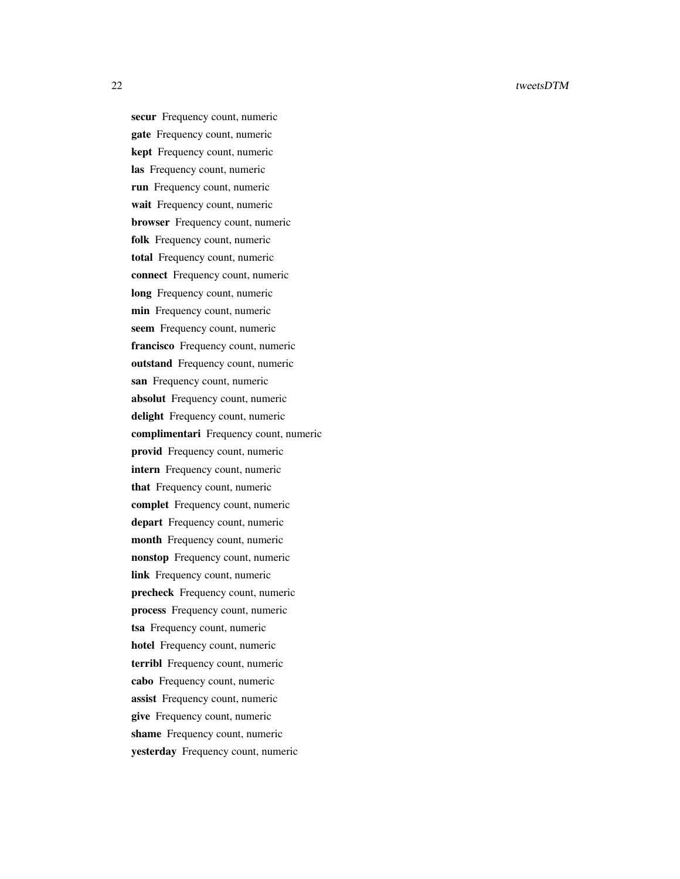secur Frequency count, numeric gate Frequency count, numeric kept Frequency count, numeric las Frequency count, numeric run Frequency count, numeric wait Frequency count, numeric browser Frequency count, numeric folk Frequency count, numeric total Frequency count, numeric connect Frequency count, numeric long Frequency count, numeric min Frequency count, numeric seem Frequency count, numeric francisco Frequency count, numeric outstand Frequency count, numeric san Frequency count, numeric absolut Frequency count, numeric delight Frequency count, numeric complimentari Frequency count, numeric provid Frequency count, numeric intern Frequency count, numeric that Frequency count, numeric complet Frequency count, numeric depart Frequency count, numeric month Frequency count, numeric nonstop Frequency count, numeric link Frequency count, numeric precheck Frequency count, numeric process Frequency count, numeric tsa Frequency count, numeric hotel Frequency count, numeric terribl Frequency count, numeric cabo Frequency count, numeric assist Frequency count, numeric give Frequency count, numeric shame Frequency count, numeric yesterday Frequency count, numeric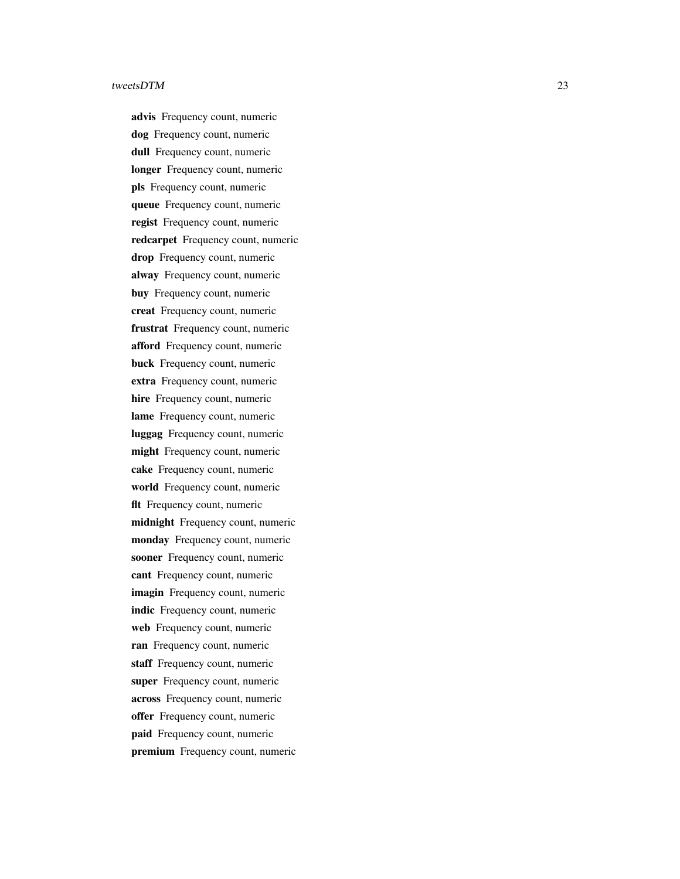advis Frequency count, numeric dog Frequency count, numeric dull Frequency count, numeric longer Frequency count, numeric pls Frequency count, numeric queue Frequency count, numeric regist Frequency count, numeric redcarpet Frequency count, numeric drop Frequency count, numeric alway Frequency count, numeric buy Frequency count, numeric creat Frequency count, numeric frustrat Frequency count, numeric afford Frequency count, numeric buck Frequency count, numeric extra Frequency count, numeric hire Frequency count, numeric lame Frequency count, numeric luggag Frequency count, numeric might Frequency count, numeric cake Frequency count, numeric world Frequency count, numeric flt Frequency count, numeric midnight Frequency count, numeric monday Frequency count, numeric sooner Frequency count, numeric cant Frequency count, numeric imagin Frequency count, numeric indic Frequency count, numeric web Frequency count, numeric ran Frequency count, numeric staff Frequency count, numeric super Frequency count, numeric across Frequency count, numeric offer Frequency count, numeric paid Frequency count, numeric premium Frequency count, numeric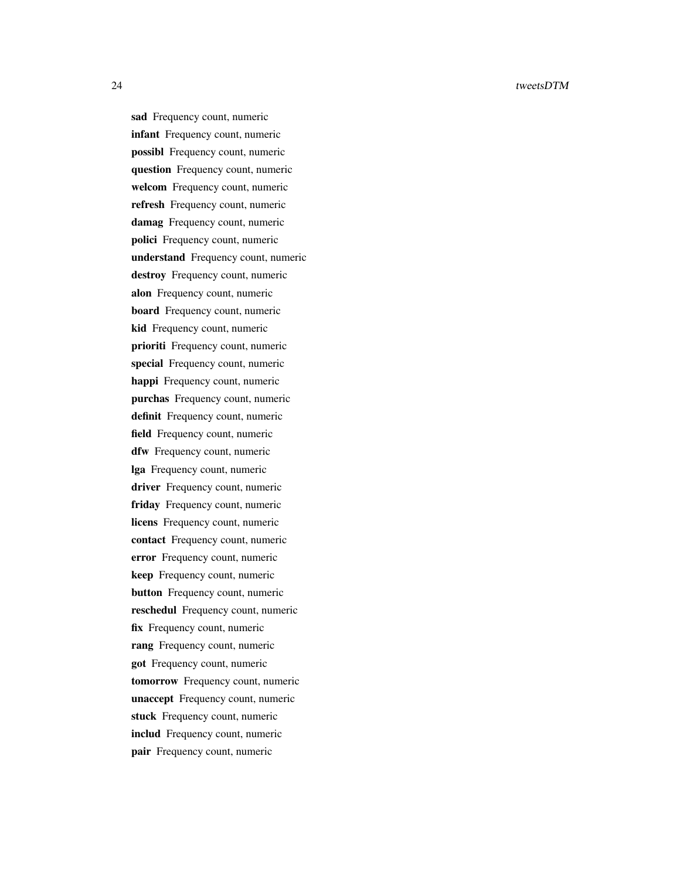sad Frequency count, numeric infant Frequency count, numeric possibl Frequency count, numeric question Frequency count, numeric welcom Frequency count, numeric refresh Frequency count, numeric damag Frequency count, numeric polici Frequency count, numeric understand Frequency count, numeric destroy Frequency count, numeric alon Frequency count, numeric board Frequency count, numeric kid Frequency count, numeric prioriti Frequency count, numeric special Frequency count, numeric happi Frequency count, numeric purchas Frequency count, numeric definit Frequency count, numeric field Frequency count, numeric dfw Frequency count, numeric lga Frequency count, numeric driver Frequency count, numeric friday Frequency count, numeric licens Frequency count, numeric contact Frequency count, numeric error Frequency count, numeric keep Frequency count, numeric button Frequency count, numeric reschedul Frequency count, numeric fix Frequency count, numeric rang Frequency count, numeric got Frequency count, numeric tomorrow Frequency count, numeric unaccept Frequency count, numeric stuck Frequency count, numeric includ Frequency count, numeric pair Frequency count, numeric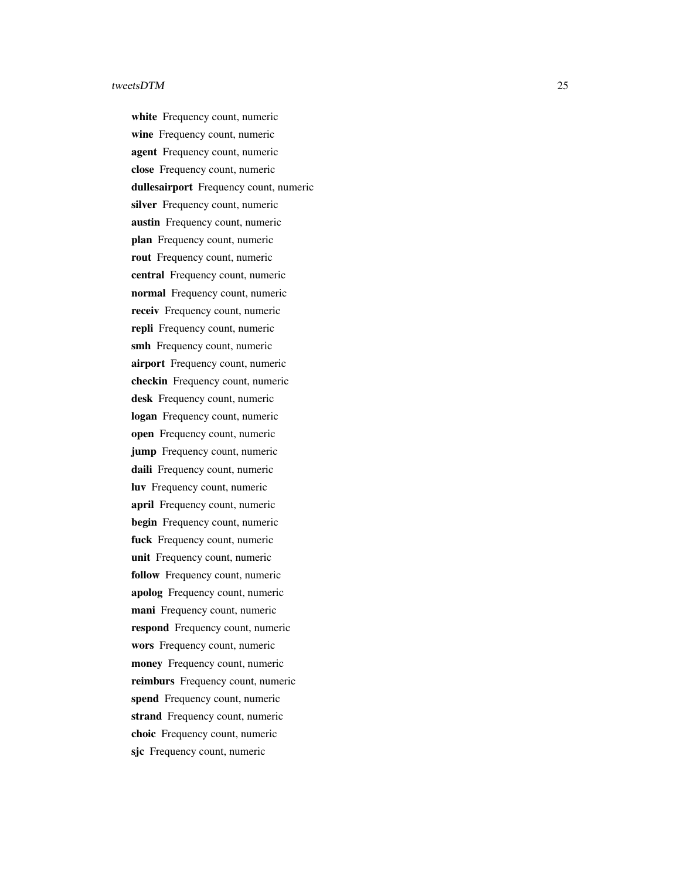white Frequency count, numeric wine Frequency count, numeric agent Frequency count, numeric close Frequency count, numeric dullesairport Frequency count, numeric silver Frequency count, numeric austin Frequency count, numeric plan Frequency count, numeric rout Frequency count, numeric central Frequency count, numeric normal Frequency count, numeric receiv Frequency count, numeric repli Frequency count, numeric smh Frequency count, numeric airport Frequency count, numeric checkin Frequency count, numeric desk Frequency count, numeric logan Frequency count, numeric open Frequency count, numeric jump Frequency count, numeric daili Frequency count, numeric luv Frequency count, numeric april Frequency count, numeric begin Frequency count, numeric fuck Frequency count, numeric unit Frequency count, numeric follow Frequency count, numeric apolog Frequency count, numeric mani Frequency count, numeric respond Frequency count, numeric wors Frequency count, numeric money Frequency count, numeric reimburs Frequency count, numeric spend Frequency count, numeric strand Frequency count, numeric choic Frequency count, numeric sjc Frequency count, numeric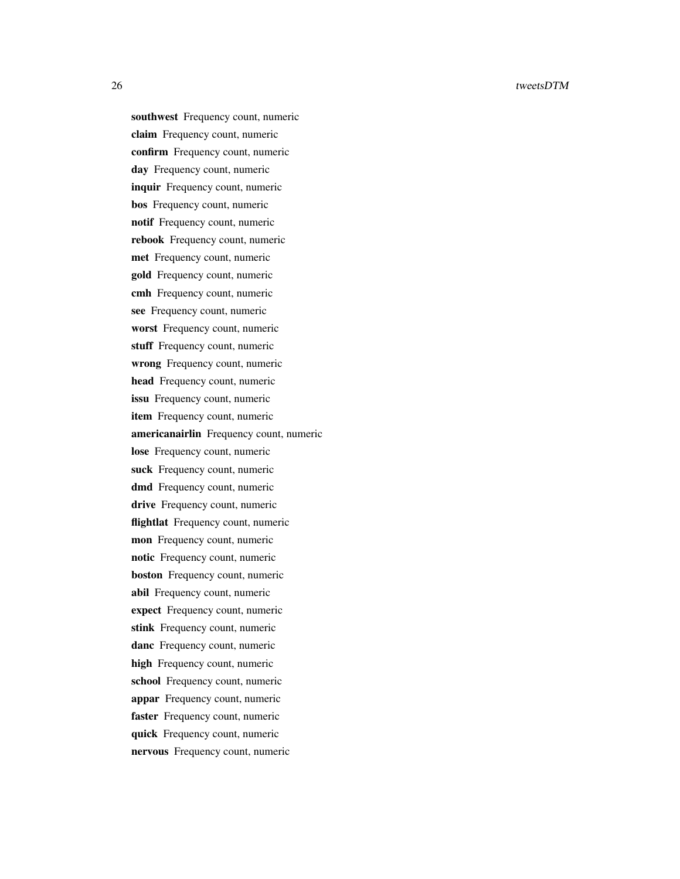southwest Frequency count, numeric claim Frequency count, numeric confirm Frequency count, numeric day Frequency count, numeric inquir Frequency count, numeric bos Frequency count, numeric notif Frequency count, numeric rebook Frequency count, numeric met Frequency count, numeric gold Frequency count, numeric cmh Frequency count, numeric see Frequency count, numeric worst Frequency count, numeric stuff Frequency count, numeric wrong Frequency count, numeric head Frequency count, numeric issu Frequency count, numeric item Frequency count, numeric americanairlin Frequency count, numeric lose Frequency count, numeric suck Frequency count, numeric dmd Frequency count, numeric drive Frequency count, numeric flightlat Frequency count, numeric mon Frequency count, numeric notic Frequency count, numeric boston Frequency count, numeric abil Frequency count, numeric expect Frequency count, numeric stink Frequency count, numeric danc Frequency count, numeric high Frequency count, numeric school Frequency count, numeric appar Frequency count, numeric faster Frequency count, numeric quick Frequency count, numeric nervous Frequency count, numeric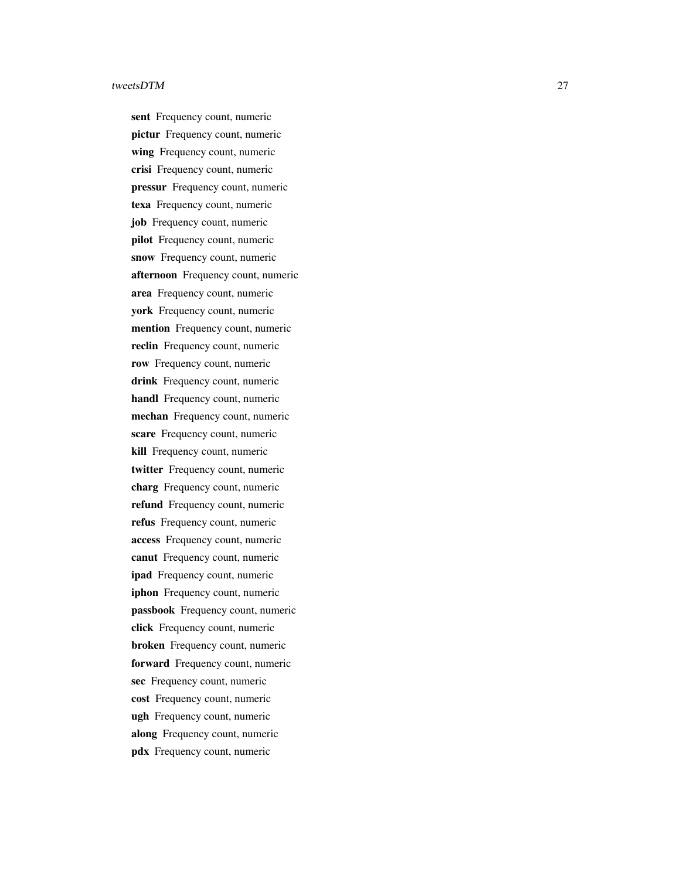sent Frequency count, numeric pictur Frequency count, numeric wing Frequency count, numeric crisi Frequency count, numeric pressur Frequency count, numeric texa Frequency count, numeric job Frequency count, numeric pilot Frequency count, numeric snow Frequency count, numeric afternoon Frequency count, numeric area Frequency count, numeric york Frequency count, numeric mention Frequency count, numeric reclin Frequency count, numeric row Frequency count, numeric drink Frequency count, numeric handl Frequency count, numeric mechan Frequency count, numeric scare Frequency count, numeric kill Frequency count, numeric twitter Frequency count, numeric charg Frequency count, numeric refund Frequency count, numeric refus Frequency count, numeric access Frequency count, numeric canut Frequency count, numeric ipad Frequency count, numeric iphon Frequency count, numeric passbook Frequency count, numeric click Frequency count, numeric broken Frequency count, numeric forward Frequency count, numeric sec Frequency count, numeric cost Frequency count, numeric ugh Frequency count, numeric along Frequency count, numeric pdx Frequency count, numeric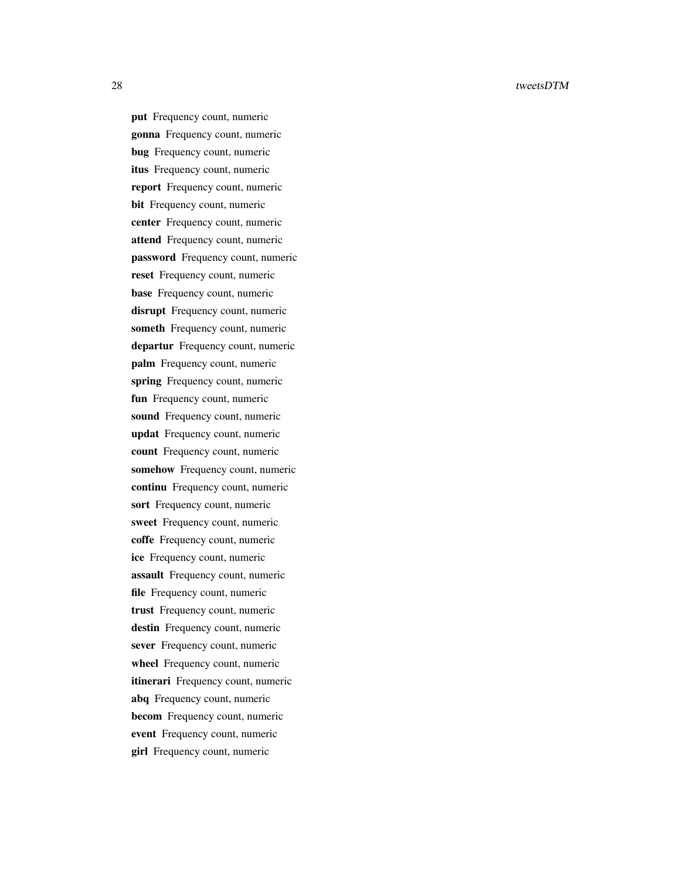put Frequency count, numeric gonna Frequency count, numeric bug Frequency count, numeric itus Frequency count, numeric report Frequency count, numeric bit Frequency count, numeric center Frequency count, numeric attend Frequency count, numeric password Frequency count, numeric reset Frequency count, numeric base Frequency count, numeric disrupt Frequency count, numeric someth Frequency count, numeric departur Frequency count, numeric palm Frequency count, numeric spring Frequency count, numeric fun Frequency count, numeric sound Frequency count, numeric updat Frequency count, numeric count Frequency count, numeric somehow Frequency count, numeric continu Frequency count, numeric sort Frequency count, numeric sweet Frequency count, numeric coffe Frequency count, numeric ice Frequency count, numeric assault Frequency count, numeric file Frequency count, numeric trust Frequency count, numeric destin Frequency count, numeric sever Frequency count, numeric wheel Frequency count, numeric itinerari Frequency count, numeric abq Frequency count, numeric becom Frequency count, numeric event Frequency count, numeric girl Frequency count, numeric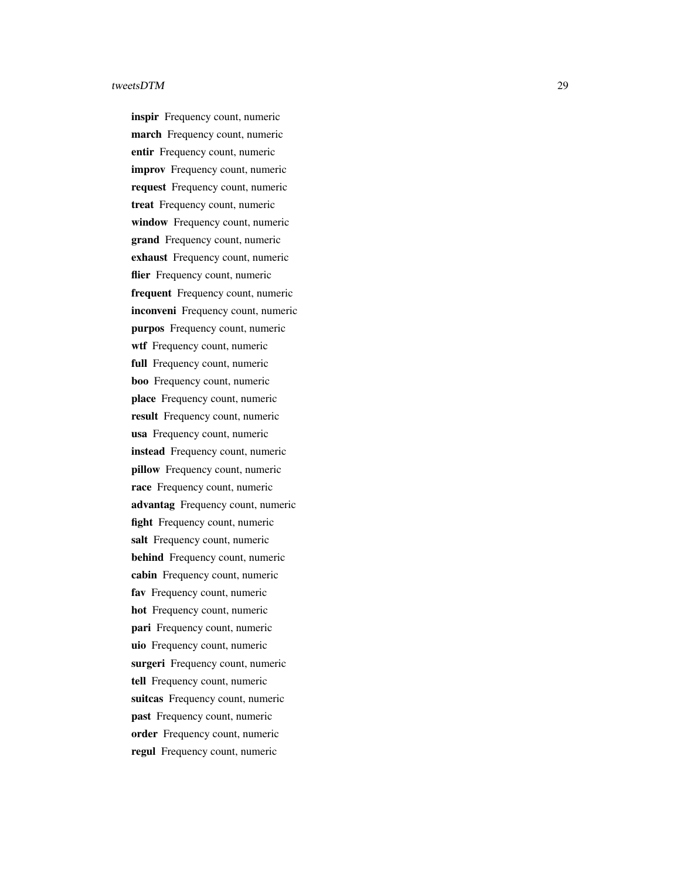inspir Frequency count, numeric march Frequency count, numeric entir Frequency count, numeric improv Frequency count, numeric request Frequency count, numeric treat Frequency count, numeric window Frequency count, numeric grand Frequency count, numeric exhaust Frequency count, numeric flier Frequency count, numeric frequent Frequency count, numeric inconveni Frequency count, numeric purpos Frequency count, numeric wtf Frequency count, numeric full Frequency count, numeric boo Frequency count, numeric place Frequency count, numeric result Frequency count, numeric usa Frequency count, numeric instead Frequency count, numeric pillow Frequency count, numeric race Frequency count, numeric advantag Frequency count, numeric fight Frequency count, numeric salt Frequency count, numeric behind Frequency count, numeric cabin Frequency count, numeric fav Frequency count, numeric hot Frequency count, numeric pari Frequency count, numeric uio Frequency count, numeric surgeri Frequency count, numeric tell Frequency count, numeric suitcas Frequency count, numeric past Frequency count, numeric order Frequency count, numeric regul Frequency count, numeric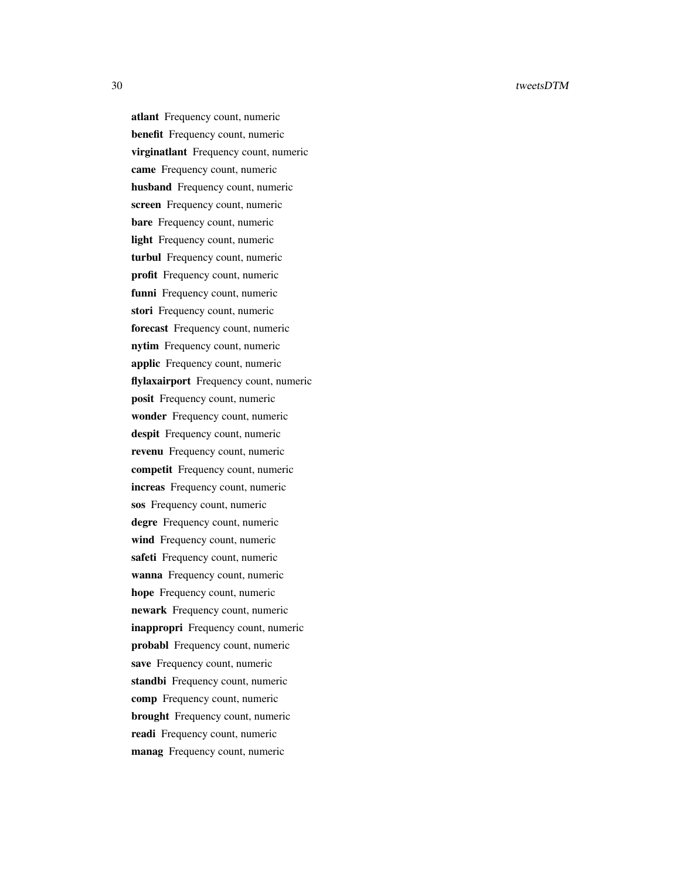atlant Frequency count, numeric benefit Frequency count, numeric virginatlant Frequency count, numeric came Frequency count, numeric husband Frequency count, numeric screen Frequency count, numeric bare Frequency count, numeric light Frequency count, numeric turbul Frequency count, numeric profit Frequency count, numeric funni Frequency count, numeric stori Frequency count, numeric forecast Frequency count, numeric nytim Frequency count, numeric applic Frequency count, numeric flylaxairport Frequency count, numeric posit Frequency count, numeric wonder Frequency count, numeric despit Frequency count, numeric revenu Frequency count, numeric competit Frequency count, numeric increas Frequency count, numeric sos Frequency count, numeric degre Frequency count, numeric wind Frequency count, numeric safeti Frequency count, numeric wanna Frequency count, numeric hope Frequency count, numeric newark Frequency count, numeric inappropri Frequency count, numeric probabl Frequency count, numeric save Frequency count, numeric standbi Frequency count, numeric comp Frequency count, numeric brought Frequency count, numeric readi Frequency count, numeric manag Frequency count, numeric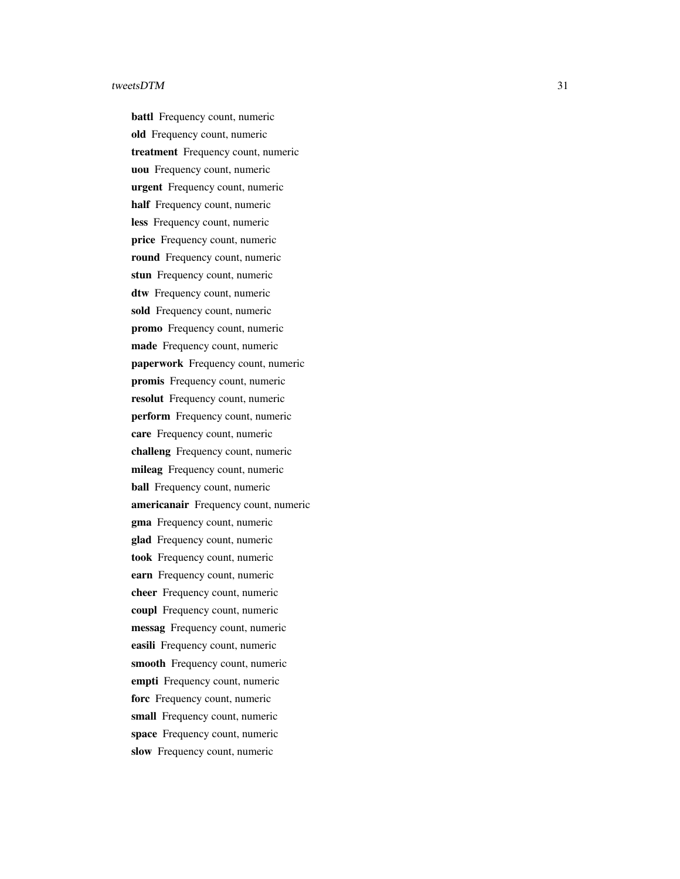battl Frequency count, numeric old Frequency count, numeric treatment Frequency count, numeric uou Frequency count, numeric urgent Frequency count, numeric half Frequency count, numeric less Frequency count, numeric price Frequency count, numeric round Frequency count, numeric stun Frequency count, numeric dtw Frequency count, numeric sold Frequency count, numeric promo Frequency count, numeric made Frequency count, numeric paperwork Frequency count, numeric promis Frequency count, numeric resolut Frequency count, numeric perform Frequency count, numeric care Frequency count, numeric challeng Frequency count, numeric mileag Frequency count, numeric ball Frequency count, numeric americanair Frequency count, numeric gma Frequency count, numeric glad Frequency count, numeric took Frequency count, numeric earn Frequency count, numeric cheer Frequency count, numeric coupl Frequency count, numeric messag Frequency count, numeric easili Frequency count, numeric smooth Frequency count, numeric empti Frequency count, numeric forc Frequency count, numeric small Frequency count, numeric space Frequency count, numeric slow Frequency count, numeric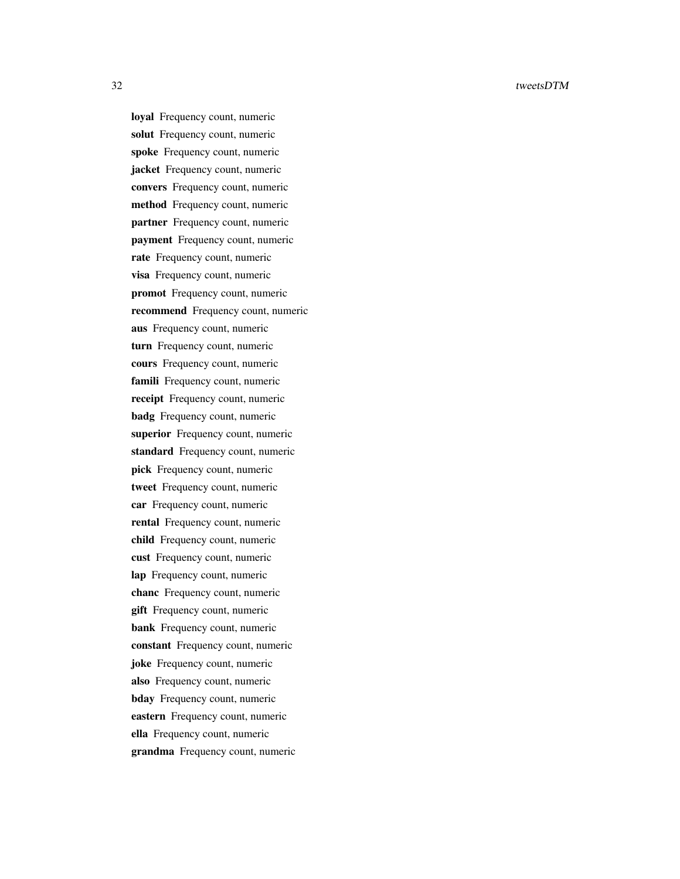loyal Frequency count, numeric solut Frequency count, numeric spoke Frequency count, numeric jacket Frequency count, numeric convers Frequency count, numeric method Frequency count, numeric partner Frequency count, numeric payment Frequency count, numeric rate Frequency count, numeric visa Frequency count, numeric promot Frequency count, numeric recommend Frequency count, numeric aus Frequency count, numeric turn Frequency count, numeric cours Frequency count, numeric famili Frequency count, numeric receipt Frequency count, numeric badg Frequency count, numeric superior Frequency count, numeric standard Frequency count, numeric pick Frequency count, numeric tweet Frequency count, numeric car Frequency count, numeric rental Frequency count, numeric child Frequency count, numeric cust Frequency count, numeric lap Frequency count, numeric chanc Frequency count, numeric gift Frequency count, numeric bank Frequency count, numeric constant Frequency count, numeric joke Frequency count, numeric also Frequency count, numeric bday Frequency count, numeric eastern Frequency count, numeric ella Frequency count, numeric grandma Frequency count, numeric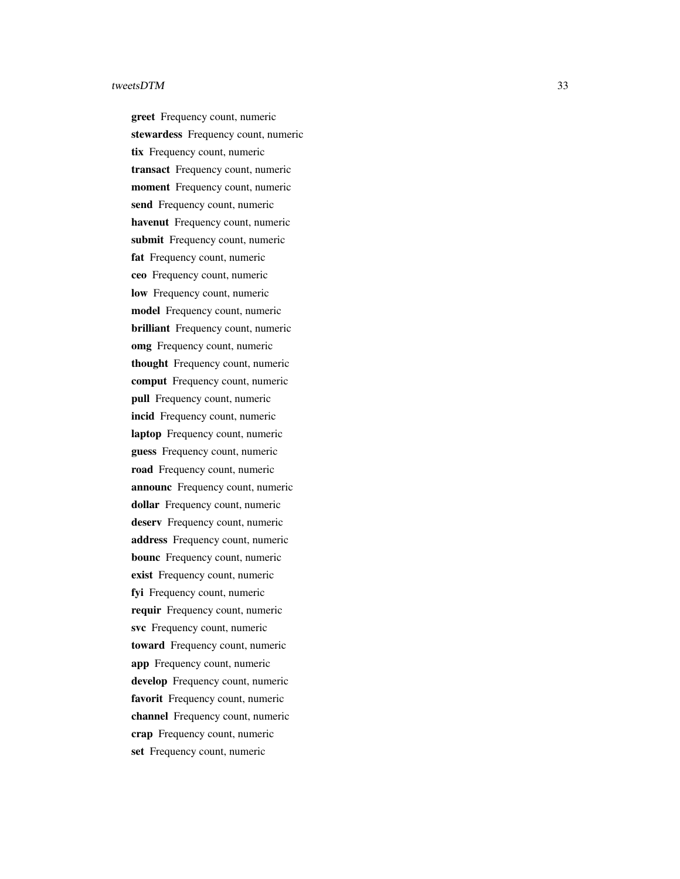greet Frequency count, numeric stewardess Frequency count, numeric tix Frequency count, numeric transact Frequency count, numeric moment Frequency count, numeric send Frequency count, numeric havenut Frequency count, numeric submit Frequency count, numeric fat Frequency count, numeric ceo Frequency count, numeric low Frequency count, numeric model Frequency count, numeric brilliant Frequency count, numeric omg Frequency count, numeric thought Frequency count, numeric comput Frequency count, numeric pull Frequency count, numeric incid Frequency count, numeric laptop Frequency count, numeric guess Frequency count, numeric road Frequency count, numeric announc Frequency count, numeric dollar Frequency count, numeric deserv Frequency count, numeric address Frequency count, numeric bounc Frequency count, numeric exist Frequency count, numeric fyi Frequency count, numeric requir Frequency count, numeric svc Frequency count, numeric toward Frequency count, numeric app Frequency count, numeric develop Frequency count, numeric favorit Frequency count, numeric channel Frequency count, numeric crap Frequency count, numeric set Frequency count, numeric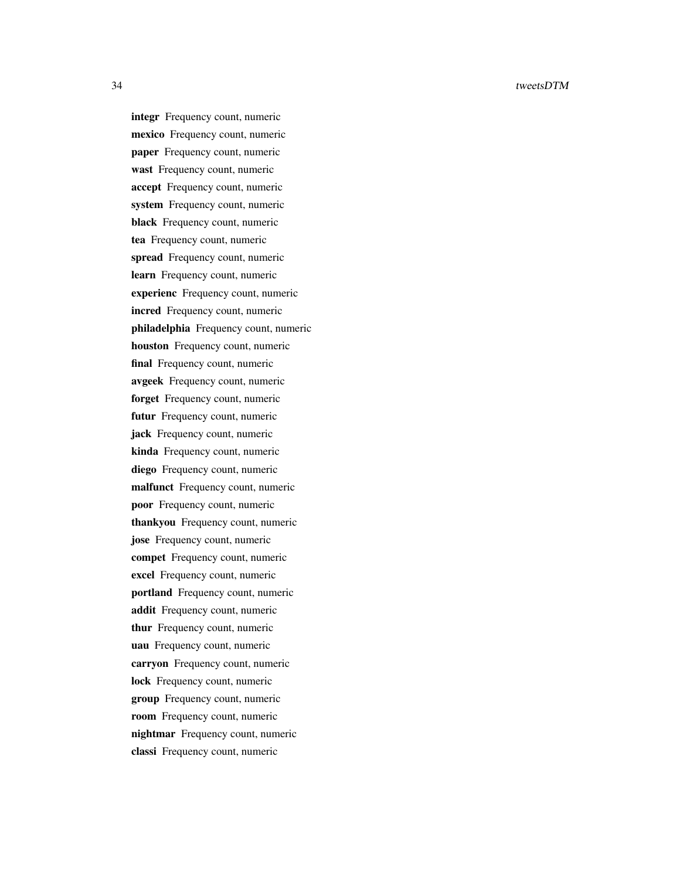integr Frequency count, numeric mexico Frequency count, numeric paper Frequency count, numeric wast Frequency count, numeric accept Frequency count, numeric system Frequency count, numeric black Frequency count, numeric tea Frequency count, numeric spread Frequency count, numeric learn Frequency count, numeric experienc Frequency count, numeric incred Frequency count, numeric philadelphia Frequency count, numeric houston Frequency count, numeric final Frequency count, numeric avgeek Frequency count, numeric forget Frequency count, numeric futur Frequency count, numeric jack Frequency count, numeric kinda Frequency count, numeric diego Frequency count, numeric malfunct Frequency count, numeric poor Frequency count, numeric thankyou Frequency count, numeric jose Frequency count, numeric compet Frequency count, numeric excel Frequency count, numeric portland Frequency count, numeric addit Frequency count, numeric thur Frequency count, numeric uau Frequency count, numeric carryon Frequency count, numeric lock Frequency count, numeric group Frequency count, numeric room Frequency count, numeric nightmar Frequency count, numeric classi Frequency count, numeric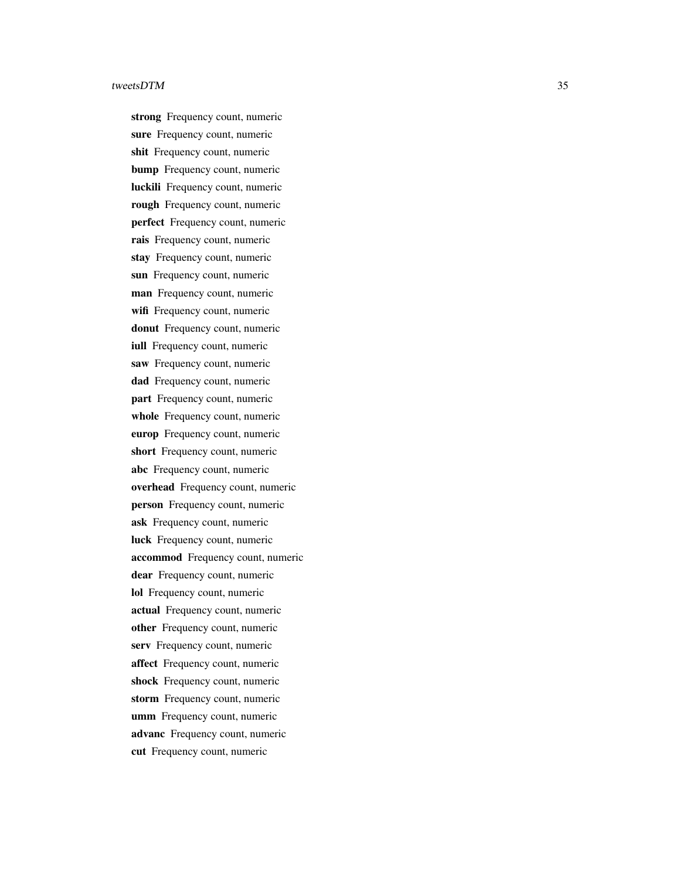strong Frequency count, numeric sure Frequency count, numeric shit Frequency count, numeric bump Frequency count, numeric luckili Frequency count, numeric rough Frequency count, numeric perfect Frequency count, numeric rais Frequency count, numeric stay Frequency count, numeric sun Frequency count, numeric man Frequency count, numeric wifi Frequency count, numeric donut Frequency count, numeric iull Frequency count, numeric saw Frequency count, numeric dad Frequency count, numeric part Frequency count, numeric whole Frequency count, numeric europ Frequency count, numeric short Frequency count, numeric abc Frequency count, numeric overhead Frequency count, numeric person Frequency count, numeric ask Frequency count, numeric luck Frequency count, numeric accommod Frequency count, numeric dear Frequency count, numeric lol Frequency count, numeric actual Frequency count, numeric other Frequency count, numeric serv Frequency count, numeric affect Frequency count, numeric shock Frequency count, numeric storm Frequency count, numeric umm Frequency count, numeric advanc Frequency count, numeric cut Frequency count, numeric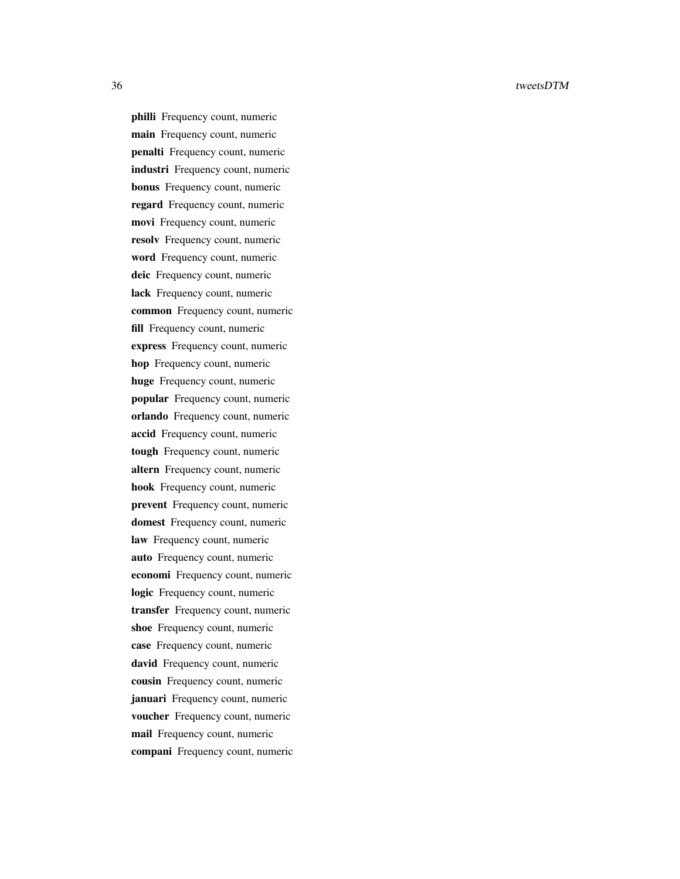philli Frequency count, numeric main Frequency count, numeric penalti Frequency count, numeric industri Frequency count, numeric bonus Frequency count, numeric regard Frequency count, numeric movi Frequency count, numeric resolv Frequency count, numeric word Frequency count, numeric deic Frequency count, numeric lack Frequency count, numeric common Frequency count, numeric fill Frequency count, numeric express Frequency count, numeric hop Frequency count, numeric huge Frequency count, numeric popular Frequency count, numeric orlando Frequency count, numeric accid Frequency count, numeric tough Frequency count, numeric altern Frequency count, numeric hook Frequency count, numeric prevent Frequency count, numeric domest Frequency count, numeric law Frequency count, numeric auto Frequency count, numeric economi Frequency count, numeric logic Frequency count, numeric transfer Frequency count, numeric shoe Frequency count, numeric case Frequency count, numeric david Frequency count, numeric cousin Frequency count, numeric januari Frequency count, numeric voucher Frequency count, numeric mail Frequency count, numeric compani Frequency count, numeric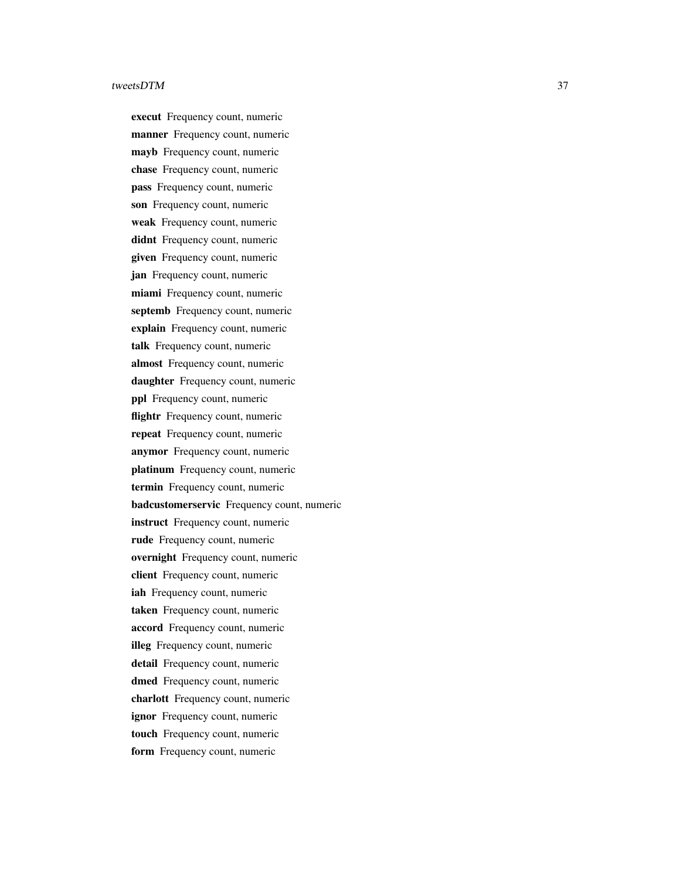execut Frequency count, numeric manner Frequency count, numeric mayb Frequency count, numeric chase Frequency count, numeric pass Frequency count, numeric son Frequency count, numeric weak Frequency count, numeric didnt Frequency count, numeric given Frequency count, numeric jan Frequency count, numeric miami Frequency count, numeric septemb Frequency count, numeric explain Frequency count, numeric talk Frequency count, numeric almost Frequency count, numeric daughter Frequency count, numeric ppl Frequency count, numeric flightr Frequency count, numeric repeat Frequency count, numeric anymor Frequency count, numeric platinum Frequency count, numeric termin Frequency count, numeric badcustomerservic Frequency count, numeric instruct Frequency count, numeric rude Frequency count, numeric overnight Frequency count, numeric client Frequency count, numeric iah Frequency count, numeric taken Frequency count, numeric accord Frequency count, numeric illeg Frequency count, numeric detail Frequency count, numeric dmed Frequency count, numeric charlott Frequency count, numeric ignor Frequency count, numeric touch Frequency count, numeric form Frequency count, numeric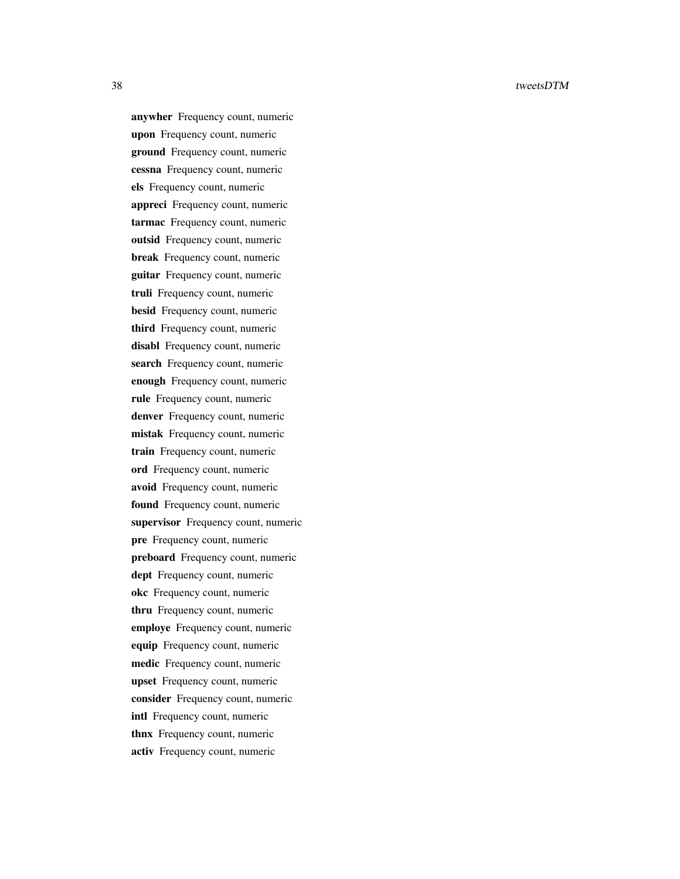anywher Frequency count, numeric upon Frequency count, numeric ground Frequency count, numeric cessna Frequency count, numeric els Frequency count, numeric appreci Frequency count, numeric tarmac Frequency count, numeric outsid Frequency count, numeric break Frequency count, numeric guitar Frequency count, numeric truli Frequency count, numeric besid Frequency count, numeric third Frequency count, numeric disabl Frequency count, numeric search Frequency count, numeric enough Frequency count, numeric rule Frequency count, numeric denver Frequency count, numeric mistak Frequency count, numeric train Frequency count, numeric ord Frequency count, numeric avoid Frequency count, numeric found Frequency count, numeric supervisor Frequency count, numeric pre Frequency count, numeric preboard Frequency count, numeric dept Frequency count, numeric okc Frequency count, numeric thru Frequency count, numeric employe Frequency count, numeric equip Frequency count, numeric medic Frequency count, numeric upset Frequency count, numeric consider Frequency count, numeric intl Frequency count, numeric thnx Frequency count, numeric activ Frequency count, numeric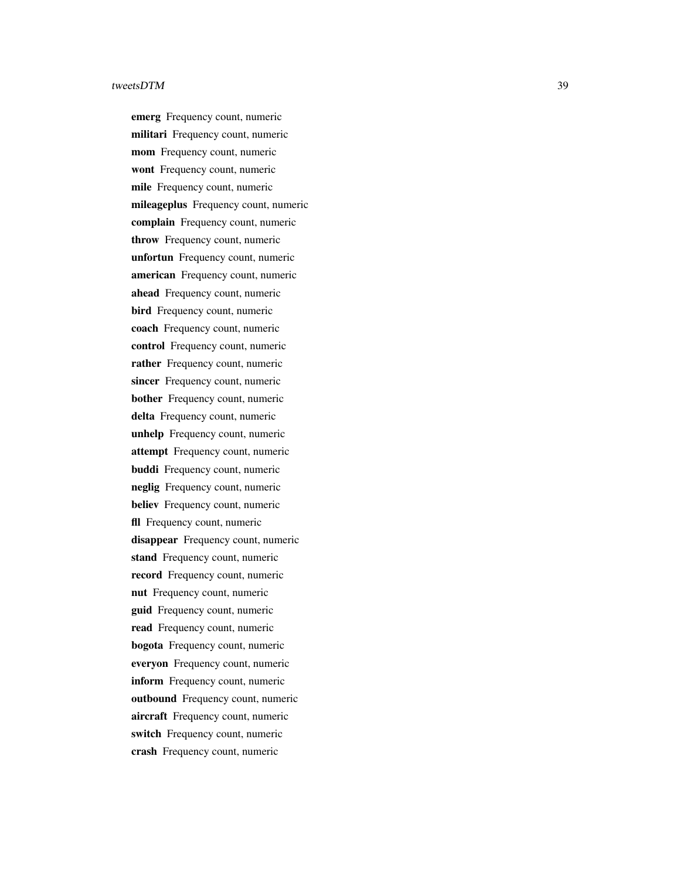emerg Frequency count, numeric militari Frequency count, numeric mom Frequency count, numeric wont Frequency count, numeric mile Frequency count, numeric mileageplus Frequency count, numeric complain Frequency count, numeric throw Frequency count, numeric unfortun Frequency count, numeric american Frequency count, numeric ahead Frequency count, numeric bird Frequency count, numeric coach Frequency count, numeric control Frequency count, numeric rather Frequency count, numeric sincer Frequency count, numeric bother Frequency count, numeric delta Frequency count, numeric unhelp Frequency count, numeric attempt Frequency count, numeric buddi Frequency count, numeric neglig Frequency count, numeric believ Frequency count, numeric fll Frequency count, numeric disappear Frequency count, numeric stand Frequency count, numeric record Frequency count, numeric nut Frequency count, numeric guid Frequency count, numeric read Frequency count, numeric bogota Frequency count, numeric everyon Frequency count, numeric inform Frequency count, numeric outbound Frequency count, numeric aircraft Frequency count, numeric switch Frequency count, numeric crash Frequency count, numeric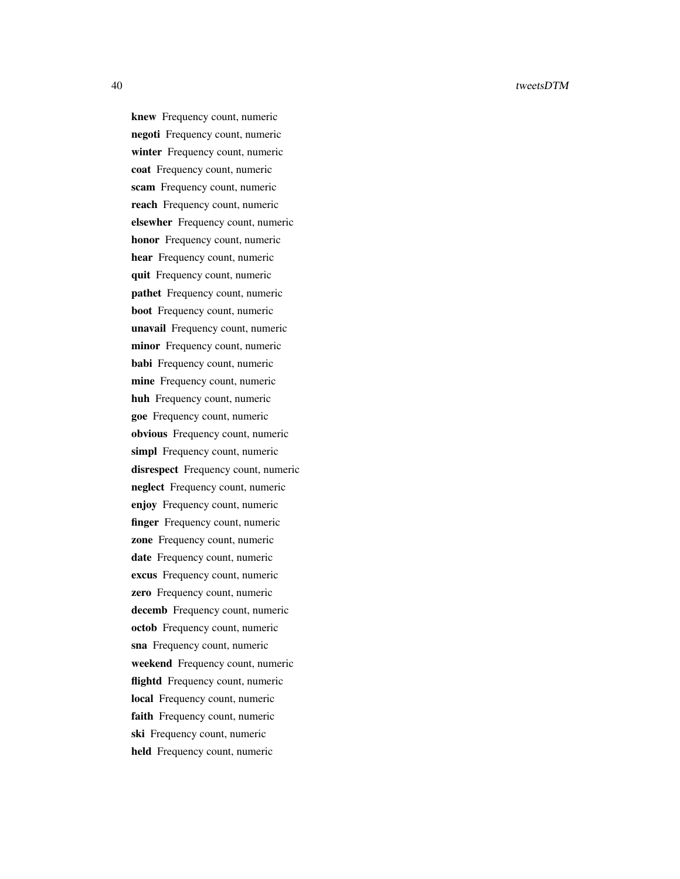knew Frequency count, numeric negoti Frequency count, numeric winter Frequency count, numeric coat Frequency count, numeric scam Frequency count, numeric reach Frequency count, numeric elsewher Frequency count, numeric honor Frequency count, numeric hear Frequency count, numeric quit Frequency count, numeric pathet Frequency count, numeric boot Frequency count, numeric unavail Frequency count, numeric minor Frequency count, numeric babi Frequency count, numeric mine Frequency count, numeric huh Frequency count, numeric goe Frequency count, numeric obvious Frequency count, numeric simpl Frequency count, numeric disrespect Frequency count, numeric neglect Frequency count, numeric enjoy Frequency count, numeric finger Frequency count, numeric zone Frequency count, numeric date Frequency count, numeric excus Frequency count, numeric zero Frequency count, numeric decemb Frequency count, numeric octob Frequency count, numeric sna Frequency count, numeric weekend Frequency count, numeric flightd Frequency count, numeric local Frequency count, numeric faith Frequency count, numeric ski Frequency count, numeric held Frequency count, numeric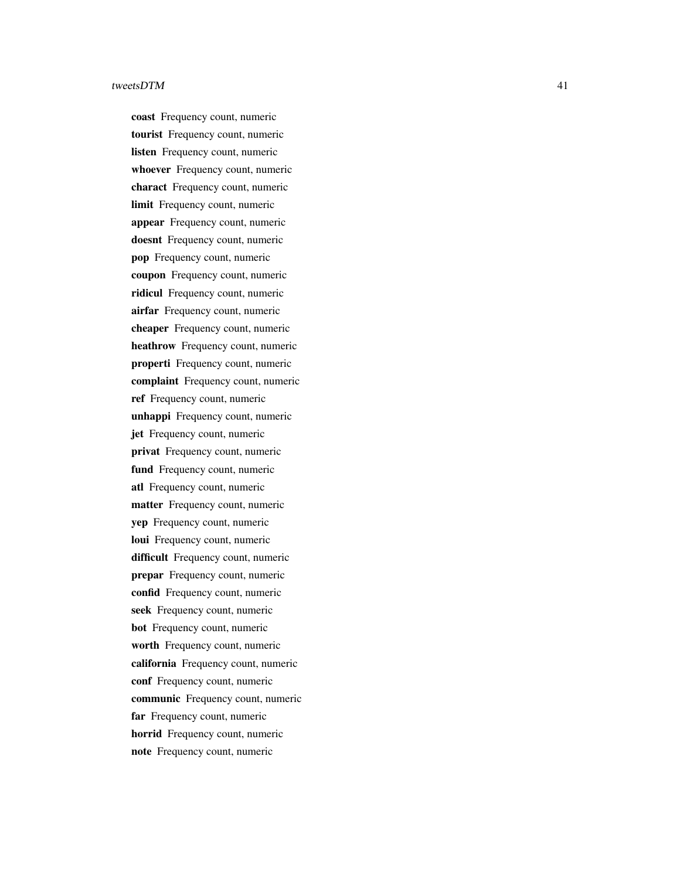coast Frequency count, numeric tourist Frequency count, numeric listen Frequency count, numeric whoever Frequency count, numeric charact Frequency count, numeric limit Frequency count, numeric appear Frequency count, numeric doesnt Frequency count, numeric pop Frequency count, numeric coupon Frequency count, numeric ridicul Frequency count, numeric airfar Frequency count, numeric cheaper Frequency count, numeric heathrow Frequency count, numeric properti Frequency count, numeric complaint Frequency count, numeric ref Frequency count, numeric unhappi Frequency count, numeric jet Frequency count, numeric privat Frequency count, numeric fund Frequency count, numeric atl Frequency count, numeric matter Frequency count, numeric yep Frequency count, numeric loui Frequency count, numeric difficult Frequency count, numeric prepar Frequency count, numeric confid Frequency count, numeric seek Frequency count, numeric bot Frequency count, numeric worth Frequency count, numeric california Frequency count, numeric conf Frequency count, numeric communic Frequency count, numeric far Frequency count, numeric horrid Frequency count, numeric note Frequency count, numeric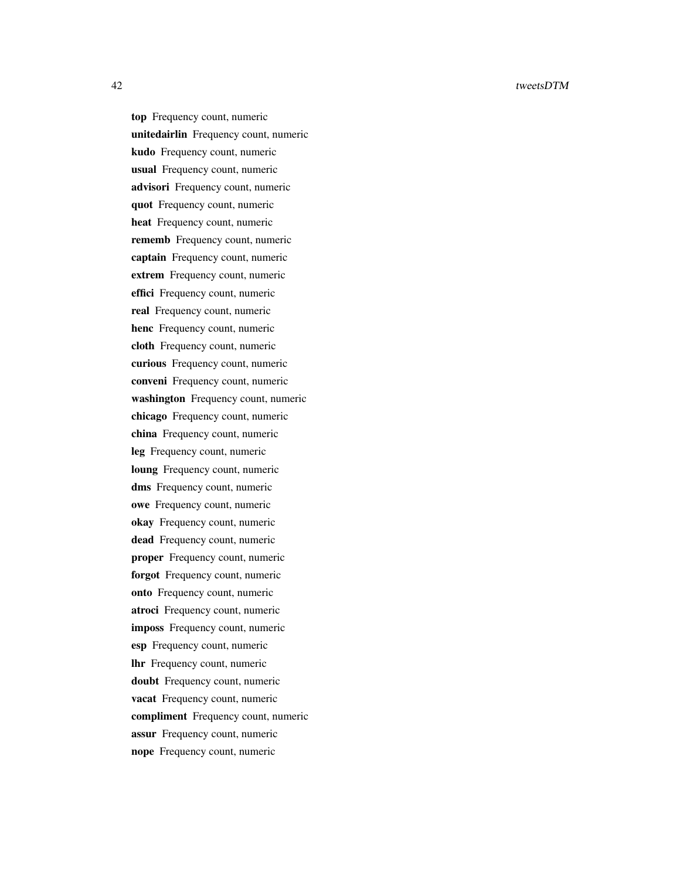top Frequency count, numeric unitedairlin Frequency count, numeric kudo Frequency count, numeric usual Frequency count, numeric advisori Frequency count, numeric quot Frequency count, numeric heat Frequency count, numeric rememb Frequency count, numeric captain Frequency count, numeric extrem Frequency count, numeric effici Frequency count, numeric real Frequency count, numeric henc Frequency count, numeric cloth Frequency count, numeric curious Frequency count, numeric conveni Frequency count, numeric washington Frequency count, numeric chicago Frequency count, numeric china Frequency count, numeric leg Frequency count, numeric loung Frequency count, numeric dms Frequency count, numeric owe Frequency count, numeric okay Frequency count, numeric dead Frequency count, numeric proper Frequency count, numeric forgot Frequency count, numeric onto Frequency count, numeric atroci Frequency count, numeric imposs Frequency count, numeric esp Frequency count, numeric lhr Frequency count, numeric doubt Frequency count, numeric vacat Frequency count, numeric compliment Frequency count, numeric assur Frequency count, numeric nope Frequency count, numeric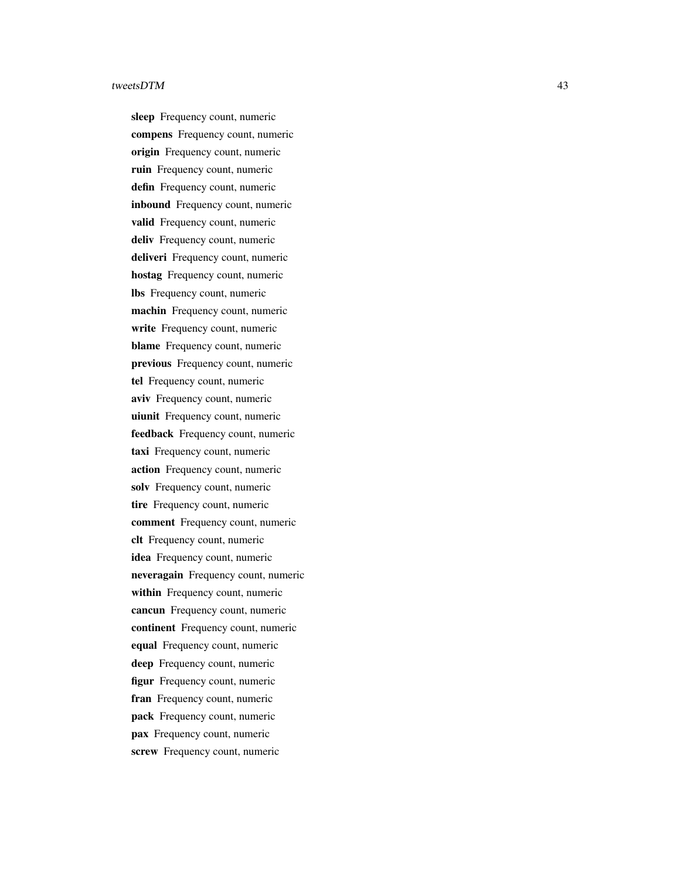sleep Frequency count, numeric compens Frequency count, numeric origin Frequency count, numeric ruin Frequency count, numeric defin Frequency count, numeric inbound Frequency count, numeric valid Frequency count, numeric deliv Frequency count, numeric deliveri Frequency count, numeric hostag Frequency count, numeric lbs Frequency count, numeric machin Frequency count, numeric write Frequency count, numeric blame Frequency count, numeric previous Frequency count, numeric tel Frequency count, numeric aviv Frequency count, numeric uiunit Frequency count, numeric feedback Frequency count, numeric taxi Frequency count, numeric action Frequency count, numeric solv Frequency count, numeric tire Frequency count, numeric comment Frequency count, numeric clt Frequency count, numeric idea Frequency count, numeric neveragain Frequency count, numeric within Frequency count, numeric cancun Frequency count, numeric continent Frequency count, numeric equal Frequency count, numeric deep Frequency count, numeric figur Frequency count, numeric fran Frequency count, numeric pack Frequency count, numeric pax Frequency count, numeric screw Frequency count, numeric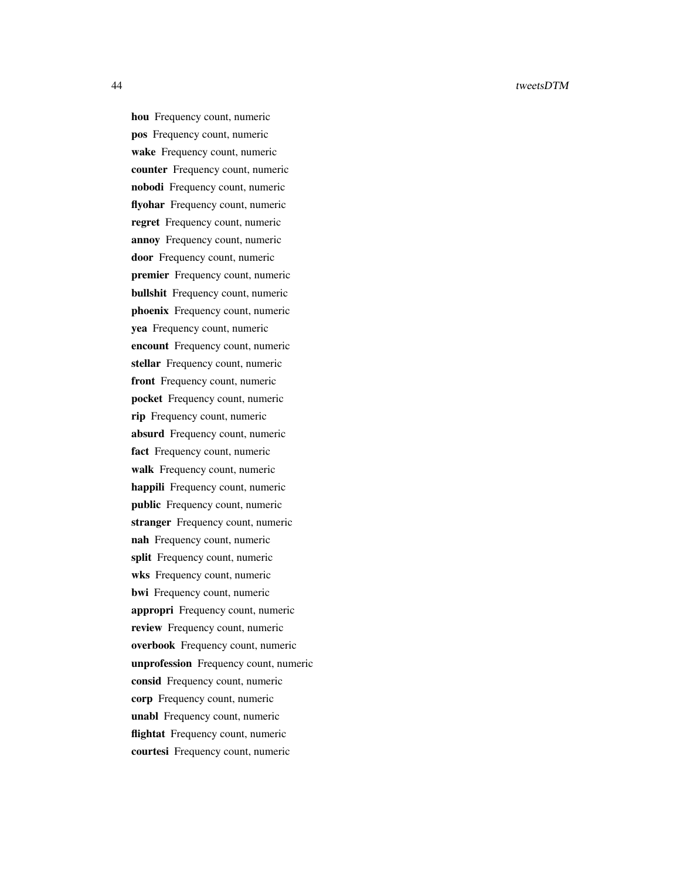hou Frequency count, numeric pos Frequency count, numeric wake Frequency count, numeric counter Frequency count, numeric nobodi Frequency count, numeric flyohar Frequency count, numeric regret Frequency count, numeric annoy Frequency count, numeric door Frequency count, numeric premier Frequency count, numeric bullshit Frequency count, numeric phoenix Frequency count, numeric yea Frequency count, numeric encount Frequency count, numeric stellar Frequency count, numeric front Frequency count, numeric pocket Frequency count, numeric rip Frequency count, numeric absurd Frequency count, numeric fact Frequency count, numeric walk Frequency count, numeric happili Frequency count, numeric public Frequency count, numeric stranger Frequency count, numeric nah Frequency count, numeric split Frequency count, numeric wks Frequency count, numeric bwi Frequency count, numeric appropri Frequency count, numeric review Frequency count, numeric overbook Frequency count, numeric unprofession Frequency count, numeric consid Frequency count, numeric corp Frequency count, numeric unabl Frequency count, numeric flightat Frequency count, numeric courtesi Frequency count, numeric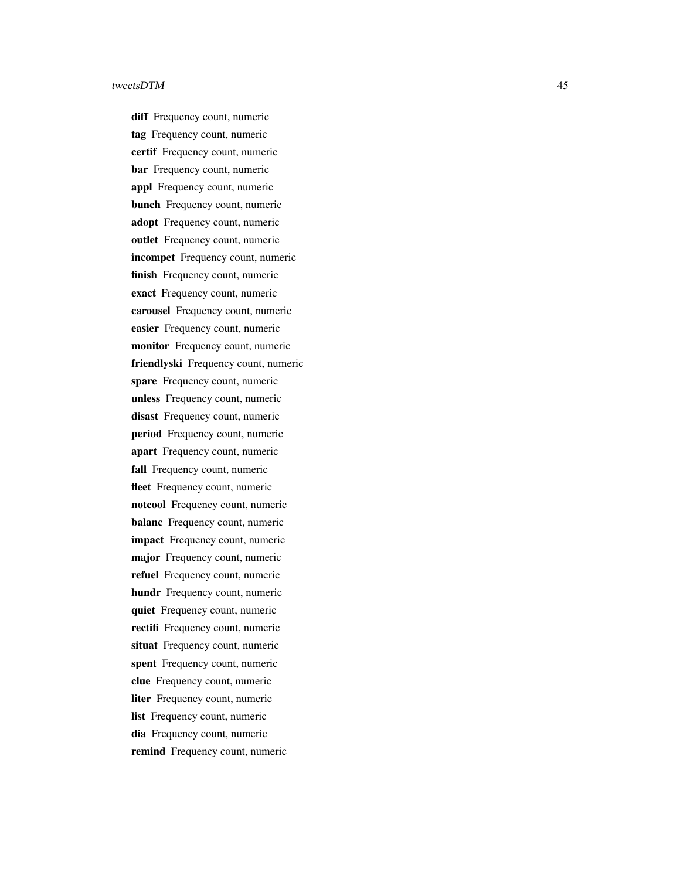diff Frequency count, numeric tag Frequency count, numeric certif Frequency count, numeric bar Frequency count, numeric appl Frequency count, numeric bunch Frequency count, numeric adopt Frequency count, numeric outlet Frequency count, numeric incompet Frequency count, numeric finish Frequency count, numeric exact Frequency count, numeric carousel Frequency count, numeric easier Frequency count, numeric monitor Frequency count, numeric friendlyski Frequency count, numeric spare Frequency count, numeric unless Frequency count, numeric disast Frequency count, numeric period Frequency count, numeric apart Frequency count, numeric fall Frequency count, numeric fleet Frequency count, numeric notcool Frequency count, numeric balanc Frequency count, numeric impact Frequency count, numeric major Frequency count, numeric refuel Frequency count, numeric hundr Frequency count, numeric quiet Frequency count, numeric rectifi Frequency count, numeric situat Frequency count, numeric spent Frequency count, numeric clue Frequency count, numeric liter Frequency count, numeric list Frequency count, numeric dia Frequency count, numeric remind Frequency count, numeric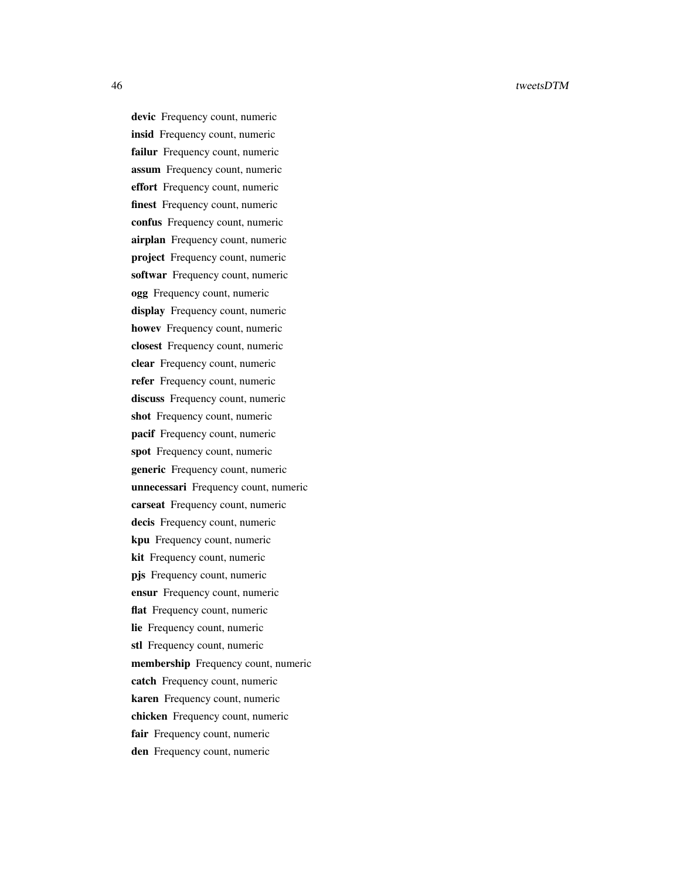devic Frequency count, numeric insid Frequency count, numeric failur Frequency count, numeric assum Frequency count, numeric effort Frequency count, numeric finest Frequency count, numeric confus Frequency count, numeric airplan Frequency count, numeric project Frequency count, numeric softwar Frequency count, numeric ogg Frequency count, numeric display Frequency count, numeric howev Frequency count, numeric closest Frequency count, numeric clear Frequency count, numeric refer Frequency count, numeric discuss Frequency count, numeric shot Frequency count, numeric pacif Frequency count, numeric spot Frequency count, numeric generic Frequency count, numeric unnecessari Frequency count, numeric carseat Frequency count, numeric decis Frequency count, numeric kpu Frequency count, numeric kit Frequency count, numeric pjs Frequency count, numeric ensur Frequency count, numeric flat Frequency count, numeric lie Frequency count, numeric stl Frequency count, numeric membership Frequency count, numeric catch Frequency count, numeric karen Frequency count, numeric chicken Frequency count, numeric fair Frequency count, numeric den Frequency count, numeric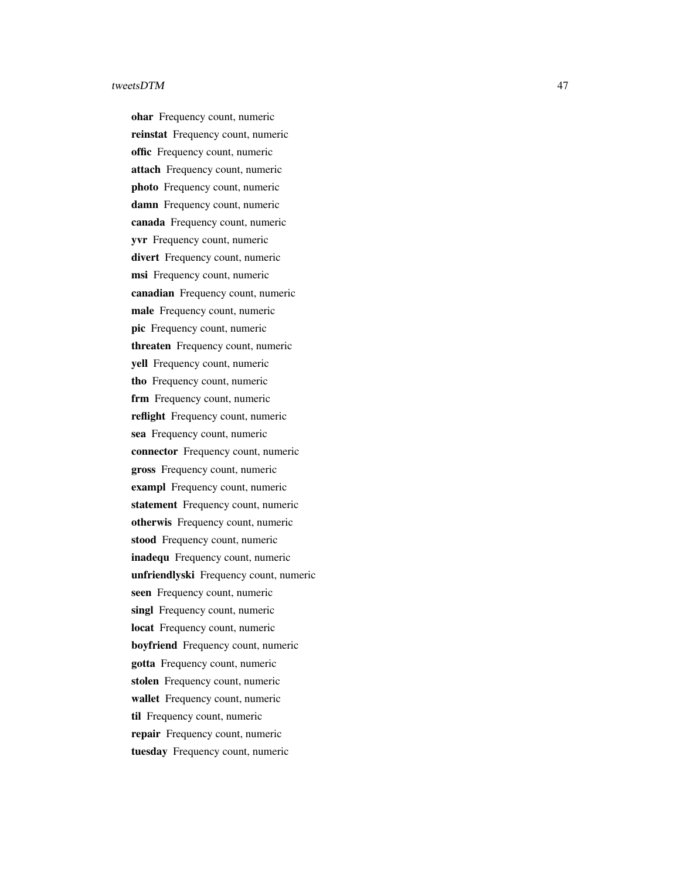ohar Frequency count, numeric reinstat Frequency count, numeric offic Frequency count, numeric attach Frequency count, numeric photo Frequency count, numeric damn Frequency count, numeric canada Frequency count, numeric yvr Frequency count, numeric divert Frequency count, numeric msi Frequency count, numeric canadian Frequency count, numeric male Frequency count, numeric pic Frequency count, numeric threaten Frequency count, numeric yell Frequency count, numeric tho Frequency count, numeric frm Frequency count, numeric reflight Frequency count, numeric sea Frequency count, numeric connector Frequency count, numeric gross Frequency count, numeric exampl Frequency count, numeric statement Frequency count, numeric otherwis Frequency count, numeric stood Frequency count, numeric inadequ Frequency count, numeric unfriendlyski Frequency count, numeric seen Frequency count, numeric singl Frequency count, numeric locat Frequency count, numeric boyfriend Frequency count, numeric gotta Frequency count, numeric stolen Frequency count, numeric wallet Frequency count, numeric til Frequency count, numeric repair Frequency count, numeric tuesday Frequency count, numeric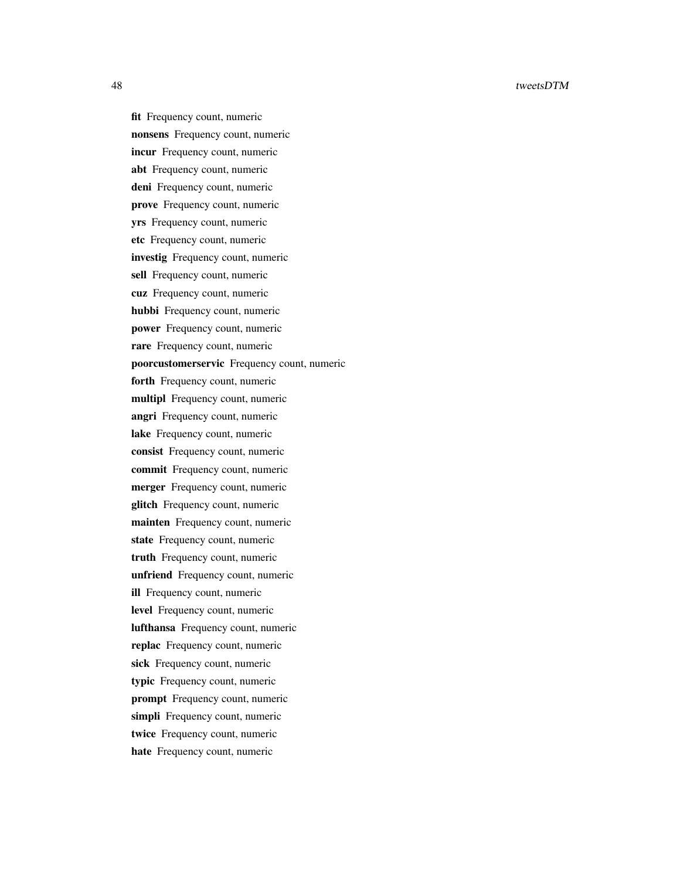fit Frequency count, numeric nonsens Frequency count, numeric incur Frequency count, numeric abt Frequency count, numeric deni Frequency count, numeric prove Frequency count, numeric yrs Frequency count, numeric etc Frequency count, numeric investig Frequency count, numeric sell Frequency count, numeric cuz Frequency count, numeric hubbi Frequency count, numeric power Frequency count, numeric rare Frequency count, numeric poorcustomerservic Frequency count, numeric forth Frequency count, numeric multipl Frequency count, numeric angri Frequency count, numeric lake Frequency count, numeric consist Frequency count, numeric commit Frequency count, numeric merger Frequency count, numeric glitch Frequency count, numeric mainten Frequency count, numeric state Frequency count, numeric truth Frequency count, numeric unfriend Frequency count, numeric ill Frequency count, numeric level Frequency count, numeric lufthansa Frequency count, numeric replac Frequency count, numeric sick Frequency count, numeric typic Frequency count, numeric prompt Frequency count, numeric simpli Frequency count, numeric twice Frequency count, numeric hate Frequency count, numeric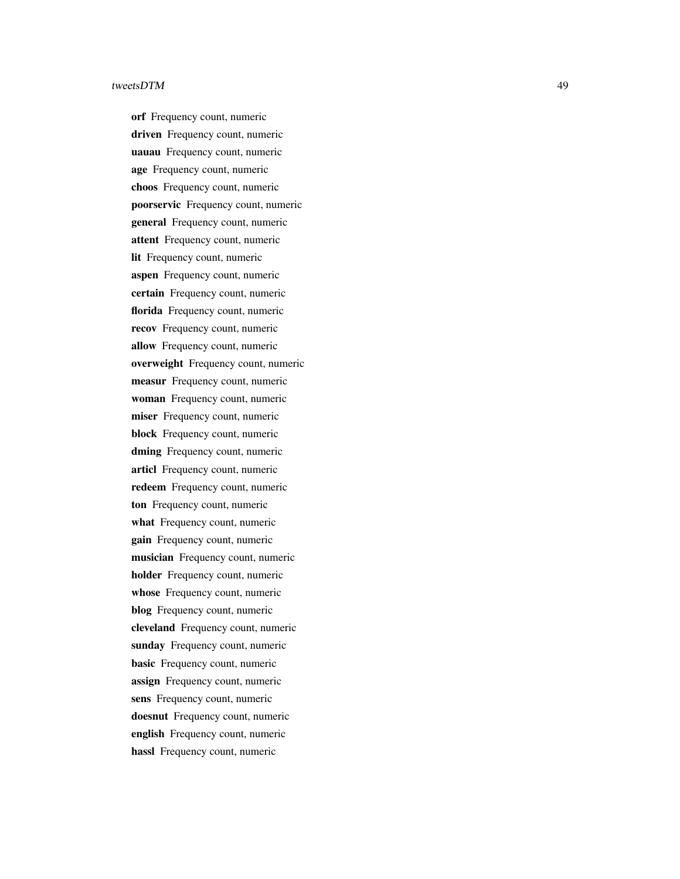orf Frequency count, numeric driven Frequency count, numeric uauau Frequency count, numeric age Frequency count, numeric choos Frequency count, numeric poorservic Frequency count, numeric general Frequency count, numeric attent Frequency count, numeric lit Frequency count, numeric aspen Frequency count, numeric certain Frequency count, numeric florida Frequency count, numeric recov Frequency count, numeric allow Frequency count, numeric overweight Frequency count, numeric measur Frequency count, numeric woman Frequency count, numeric miser Frequency count, numeric block Frequency count, numeric dming Frequency count, numeric articl Frequency count, numeric redeem Frequency count, numeric ton Frequency count, numeric what Frequency count, numeric gain Frequency count, numeric musician Frequency count, numeric holder Frequency count, numeric whose Frequency count, numeric blog Frequency count, numeric cleveland Frequency count, numeric sunday Frequency count, numeric basic Frequency count, numeric assign Frequency count, numeric sens Frequency count, numeric doesnut Frequency count, numeric english Frequency count, numeric hassl Frequency count, numeric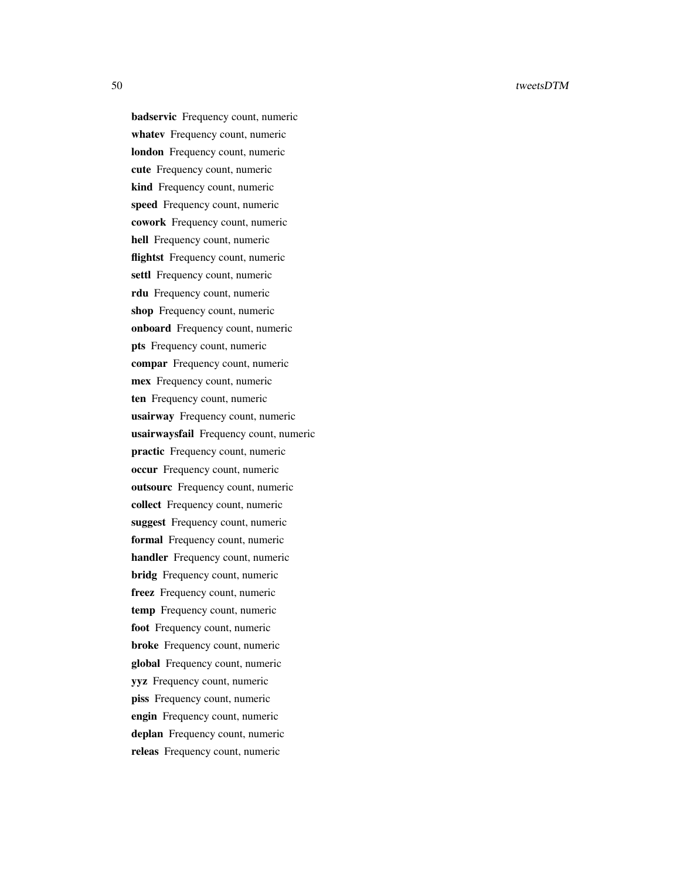badservic Frequency count, numeric whatev Frequency count, numeric london Frequency count, numeric cute Frequency count, numeric kind Frequency count, numeric speed Frequency count, numeric cowork Frequency count, numeric hell Frequency count, numeric flightst Frequency count, numeric settl Frequency count, numeric rdu Frequency count, numeric shop Frequency count, numeric onboard Frequency count, numeric pts Frequency count, numeric compar Frequency count, numeric mex Frequency count, numeric ten Frequency count, numeric usairway Frequency count, numeric usairwaysfail Frequency count, numeric practic Frequency count, numeric occur Frequency count, numeric outsourc Frequency count, numeric collect Frequency count, numeric suggest Frequency count, numeric formal Frequency count, numeric handler Frequency count, numeric bridg Frequency count, numeric freez Frequency count, numeric temp Frequency count, numeric foot Frequency count, numeric broke Frequency count, numeric global Frequency count, numeric yyz Frequency count, numeric piss Frequency count, numeric engin Frequency count, numeric deplan Frequency count, numeric releas Frequency count, numeric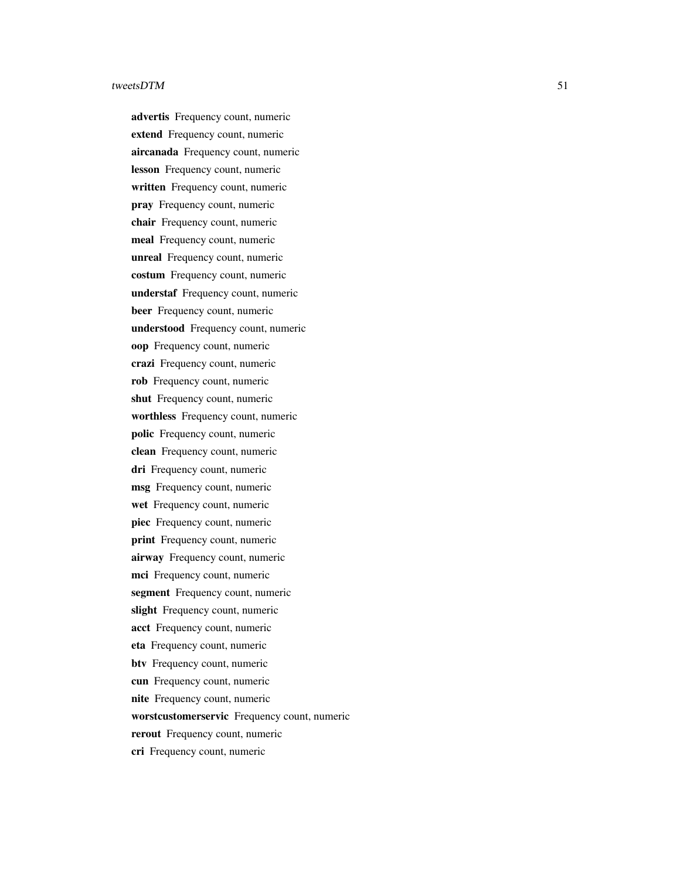advertis Frequency count, numeric extend Frequency count, numeric aircanada Frequency count, numeric lesson Frequency count, numeric written Frequency count, numeric pray Frequency count, numeric chair Frequency count, numeric meal Frequency count, numeric unreal Frequency count, numeric costum Frequency count, numeric understaf Frequency count, numeric beer Frequency count, numeric understood Frequency count, numeric oop Frequency count, numeric crazi Frequency count, numeric rob Frequency count, numeric shut Frequency count, numeric worthless Frequency count, numeric polic Frequency count, numeric clean Frequency count, numeric dri Frequency count, numeric msg Frequency count, numeric wet Frequency count, numeric piec Frequency count, numeric print Frequency count, numeric airway Frequency count, numeric mci Frequency count, numeric segment Frequency count, numeric slight Frequency count, numeric acct Frequency count, numeric eta Frequency count, numeric btv Frequency count, numeric cun Frequency count, numeric nite Frequency count, numeric worstcustomerservic Frequency count, numeric rerout Frequency count, numeric cri Frequency count, numeric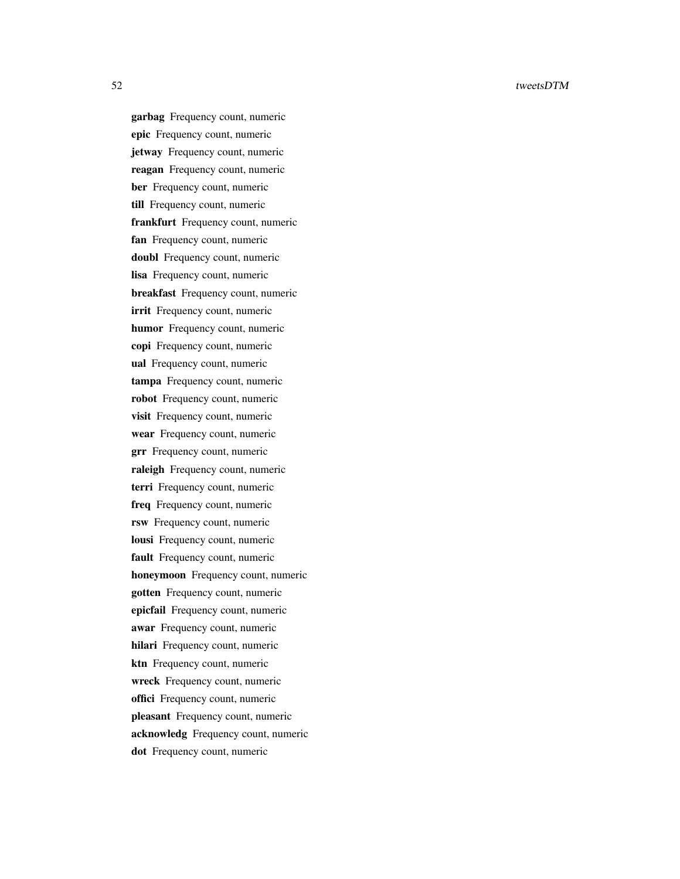garbag Frequency count, numeric epic Frequency count, numeric jetway Frequency count, numeric reagan Frequency count, numeric ber Frequency count, numeric till Frequency count, numeric frankfurt Frequency count, numeric fan Frequency count, numeric doubl Frequency count, numeric lisa Frequency count, numeric breakfast Frequency count, numeric irrit Frequency count, numeric humor Frequency count, numeric copi Frequency count, numeric ual Frequency count, numeric tampa Frequency count, numeric robot Frequency count, numeric visit Frequency count, numeric wear Frequency count, numeric grr Frequency count, numeric raleigh Frequency count, numeric terri Frequency count, numeric freq Frequency count, numeric rsw Frequency count, numeric lousi Frequency count, numeric fault Frequency count, numeric honeymoon Frequency count, numeric gotten Frequency count, numeric epicfail Frequency count, numeric awar Frequency count, numeric hilari Frequency count, numeric ktn Frequency count, numeric wreck Frequency count, numeric offici Frequency count, numeric pleasant Frequency count, numeric acknowledg Frequency count, numeric dot Frequency count, numeric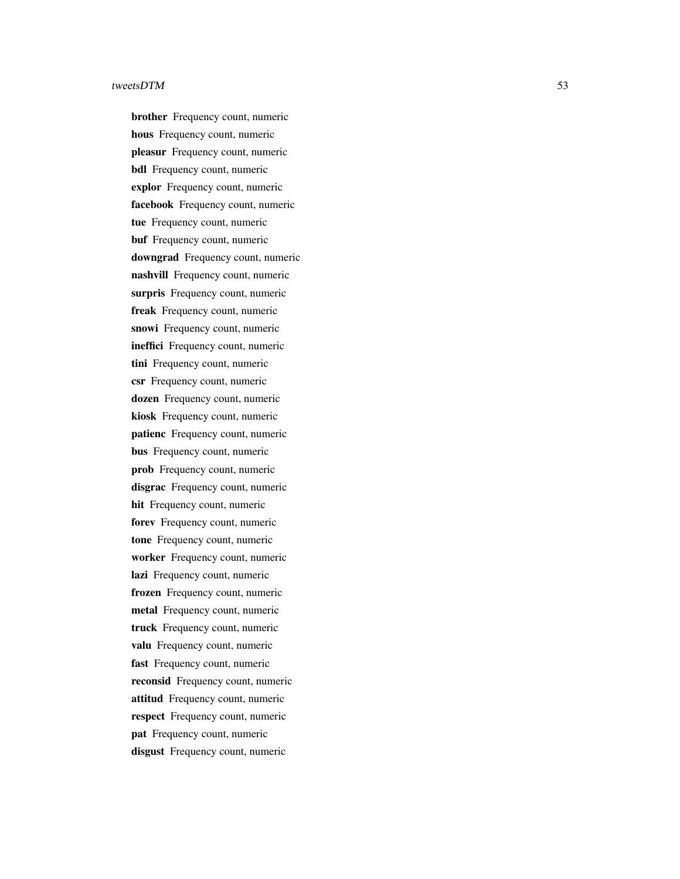brother Frequency count, numeric hous Frequency count, numeric pleasur Frequency count, numeric bdl Frequency count, numeric explor Frequency count, numeric facebook Frequency count, numeric tue Frequency count, numeric buf Frequency count, numeric downgrad Frequency count, numeric nashvill Frequency count, numeric surpris Frequency count, numeric freak Frequency count, numeric snowi Frequency count, numeric ineffici Frequency count, numeric tini Frequency count, numeric csr Frequency count, numeric dozen Frequency count, numeric kiosk Frequency count, numeric patienc Frequency count, numeric bus Frequency count, numeric prob Frequency count, numeric disgrac Frequency count, numeric hit Frequency count, numeric forev Frequency count, numeric tone Frequency count, numeric worker Frequency count, numeric lazi Frequency count, numeric frozen Frequency count, numeric metal Frequency count, numeric truck Frequency count, numeric valu Frequency count, numeric fast Frequency count, numeric reconsid Frequency count, numeric attitud Frequency count, numeric respect Frequency count, numeric pat Frequency count, numeric disgust Frequency count, numeric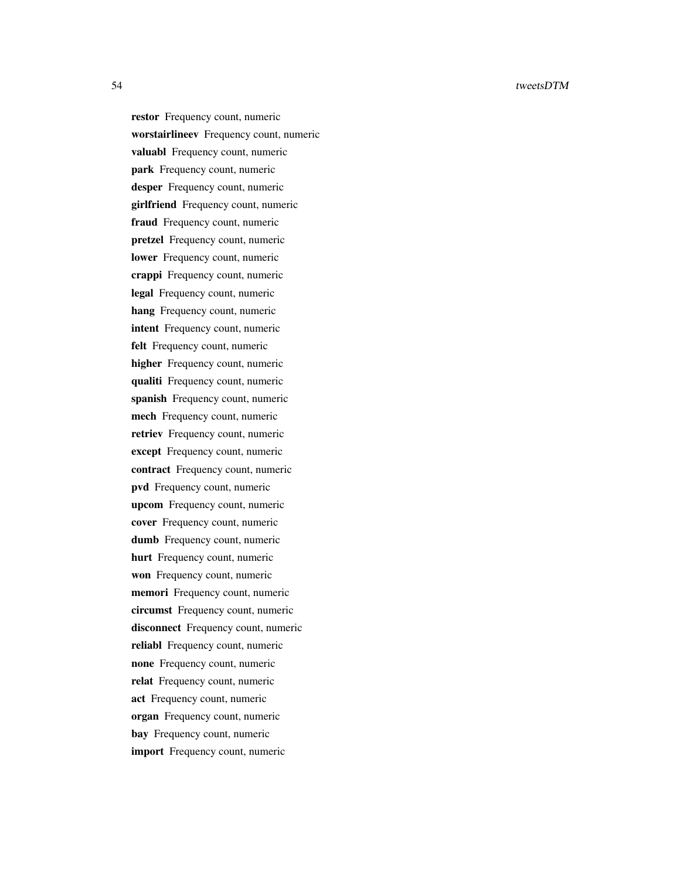restor Frequency count, numeric worstairlineev Frequency count, numeric valuabl Frequency count, numeric park Frequency count, numeric desper Frequency count, numeric girlfriend Frequency count, numeric fraud Frequency count, numeric pretzel Frequency count, numeric lower Frequency count, numeric crappi Frequency count, numeric legal Frequency count, numeric hang Frequency count, numeric intent Frequency count, numeric felt Frequency count, numeric higher Frequency count, numeric qualiti Frequency count, numeric spanish Frequency count, numeric mech Frequency count, numeric retriev Frequency count, numeric except Frequency count, numeric contract Frequency count, numeric pvd Frequency count, numeric upcom Frequency count, numeric cover Frequency count, numeric dumb Frequency count, numeric hurt Frequency count, numeric won Frequency count, numeric memori Frequency count, numeric circumst Frequency count, numeric disconnect Frequency count, numeric reliabl Frequency count, numeric none Frequency count, numeric relat Frequency count, numeric act Frequency count, numeric organ Frequency count, numeric bay Frequency count, numeric import Frequency count, numeric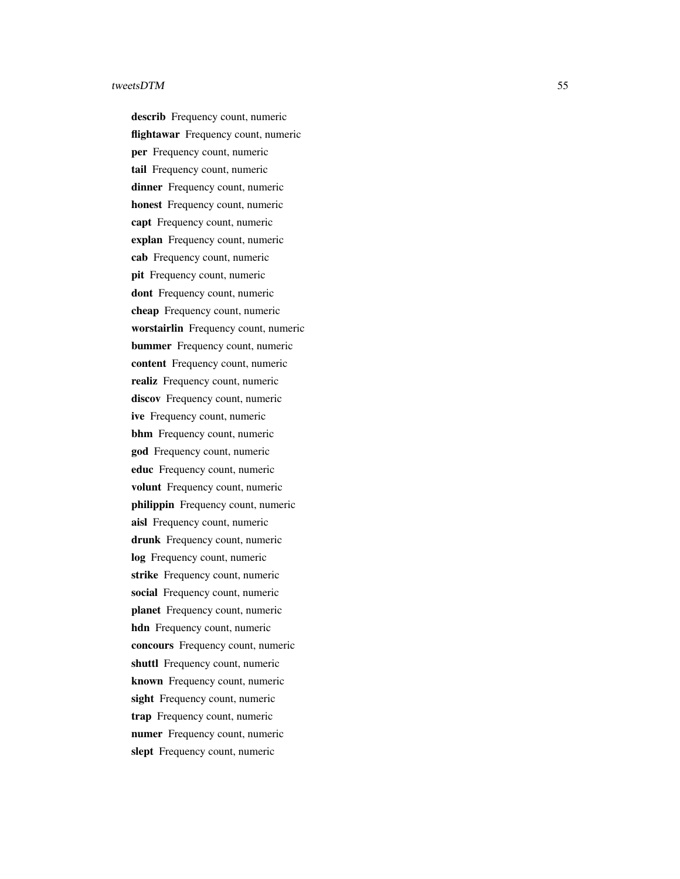describ Frequency count, numeric flightawar Frequency count, numeric per Frequency count, numeric tail Frequency count, numeric dinner Frequency count, numeric honest Frequency count, numeric capt Frequency count, numeric explan Frequency count, numeric cab Frequency count, numeric pit Frequency count, numeric dont Frequency count, numeric cheap Frequency count, numeric worstairlin Frequency count, numeric bummer Frequency count, numeric content Frequency count, numeric realiz Frequency count, numeric discov Frequency count, numeric ive Frequency count, numeric bhm Frequency count, numeric god Frequency count, numeric educ Frequency count, numeric volunt Frequency count, numeric philippin Frequency count, numeric aisl Frequency count, numeric drunk Frequency count, numeric log Frequency count, numeric strike Frequency count, numeric social Frequency count, numeric planet Frequency count, numeric hdn Frequency count, numeric concours Frequency count, numeric shuttl Frequency count, numeric known Frequency count, numeric sight Frequency count, numeric trap Frequency count, numeric numer Frequency count, numeric slept Frequency count, numeric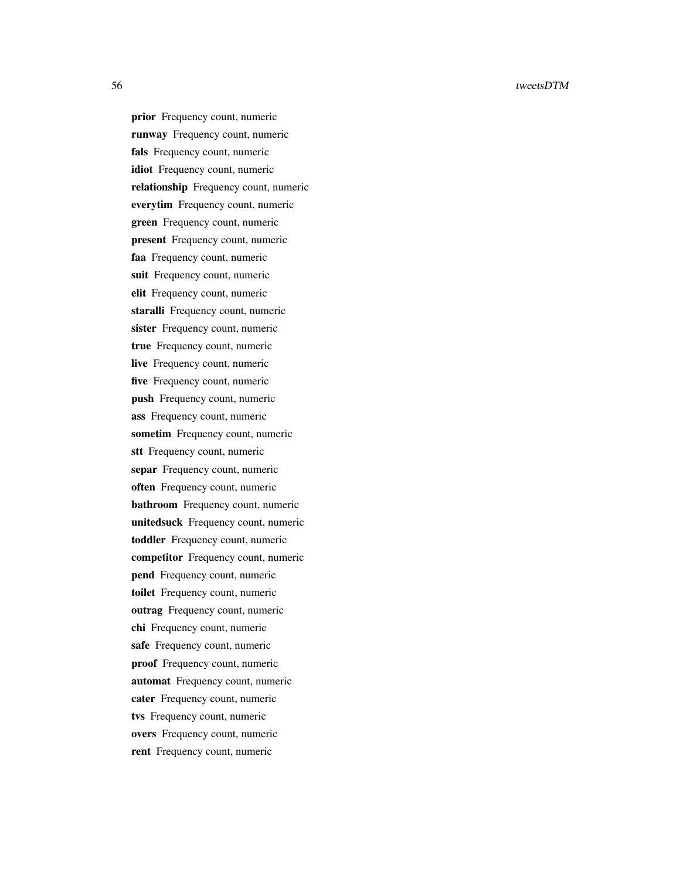prior Frequency count, numeric runway Frequency count, numeric fals Frequency count, numeric idiot Frequency count, numeric relationship Frequency count, numeric everytim Frequency count, numeric green Frequency count, numeric present Frequency count, numeric faa Frequency count, numeric suit Frequency count, numeric elit Frequency count, numeric staralli Frequency count, numeric sister Frequency count, numeric true Frequency count, numeric live Frequency count, numeric five Frequency count, numeric push Frequency count, numeric ass Frequency count, numeric sometim Frequency count, numeric stt Frequency count, numeric separ Frequency count, numeric often Frequency count, numeric bathroom Frequency count, numeric unitedsuck Frequency count, numeric toddler Frequency count, numeric competitor Frequency count, numeric pend Frequency count, numeric toilet Frequency count, numeric outrag Frequency count, numeric chi Frequency count, numeric safe Frequency count, numeric proof Frequency count, numeric automat Frequency count, numeric cater Frequency count, numeric tvs Frequency count, numeric overs Frequency count, numeric rent Frequency count, numeric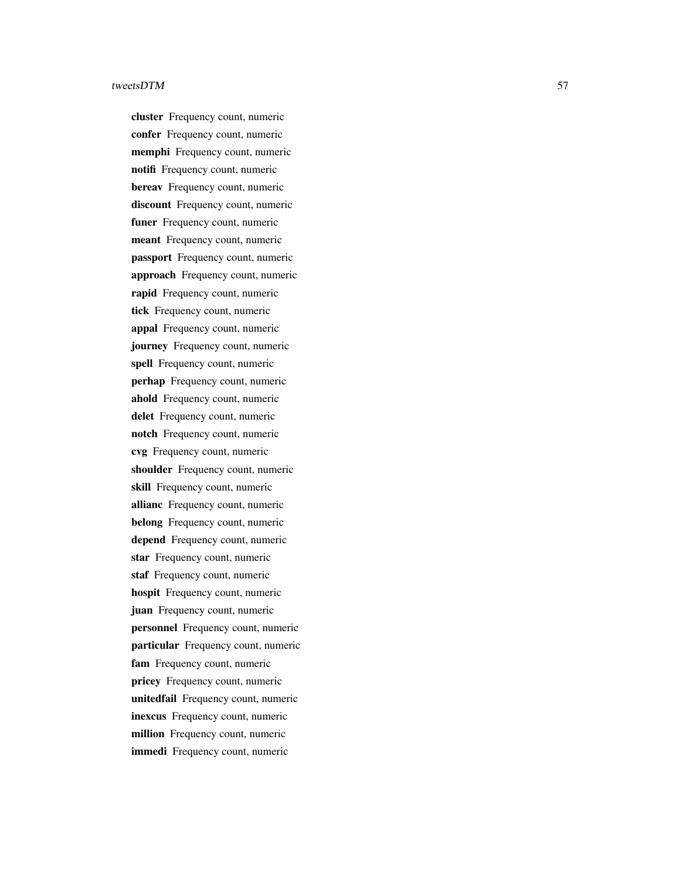cluster Frequency count, numeric confer Frequency count, numeric memphi Frequency count, numeric notifi Frequency count, numeric bereav Frequency count, numeric discount Frequency count, numeric funer Frequency count, numeric meant Frequency count, numeric passport Frequency count, numeric approach Frequency count, numeric rapid Frequency count, numeric tick Frequency count, numeric appal Frequency count, numeric journey Frequency count, numeric spell Frequency count, numeric perhap Frequency count, numeric ahold Frequency count, numeric delet Frequency count, numeric notch Frequency count, numeric cvg Frequency count, numeric shoulder Frequency count, numeric skill Frequency count, numeric allianc Frequency count, numeric belong Frequency count, numeric depend Frequency count, numeric star Frequency count, numeric staf Frequency count, numeric hospit Frequency count, numeric juan Frequency count, numeric personnel Frequency count, numeric particular Frequency count, numeric fam Frequency count, numeric pricey Frequency count, numeric unitedfail Frequency count, numeric inexcus Frequency count, numeric million Frequency count, numeric immedi Frequency count, numeric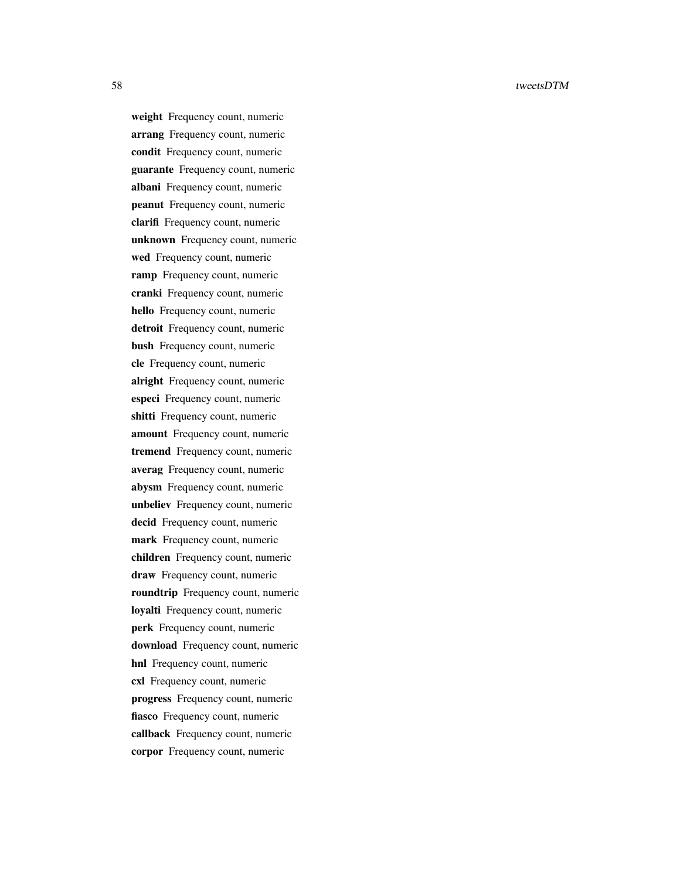weight Frequency count, numeric arrang Frequency count, numeric condit Frequency count, numeric guarante Frequency count, numeric albani Frequency count, numeric peanut Frequency count, numeric clarifi Frequency count, numeric unknown Frequency count, numeric wed Frequency count, numeric ramp Frequency count, numeric cranki Frequency count, numeric hello Frequency count, numeric detroit Frequency count, numeric bush Frequency count, numeric cle Frequency count, numeric alright Frequency count, numeric especi Frequency count, numeric shitti Frequency count, numeric amount Frequency count, numeric tremend Frequency count, numeric averag Frequency count, numeric abysm Frequency count, numeric unbeliev Frequency count, numeric decid Frequency count, numeric mark Frequency count, numeric children Frequency count, numeric draw Frequency count, numeric roundtrip Frequency count, numeric loyalti Frequency count, numeric perk Frequency count, numeric download Frequency count, numeric hnl Frequency count, numeric cxl Frequency count, numeric progress Frequency count, numeric fiasco Frequency count, numeric callback Frequency count, numeric corpor Frequency count, numeric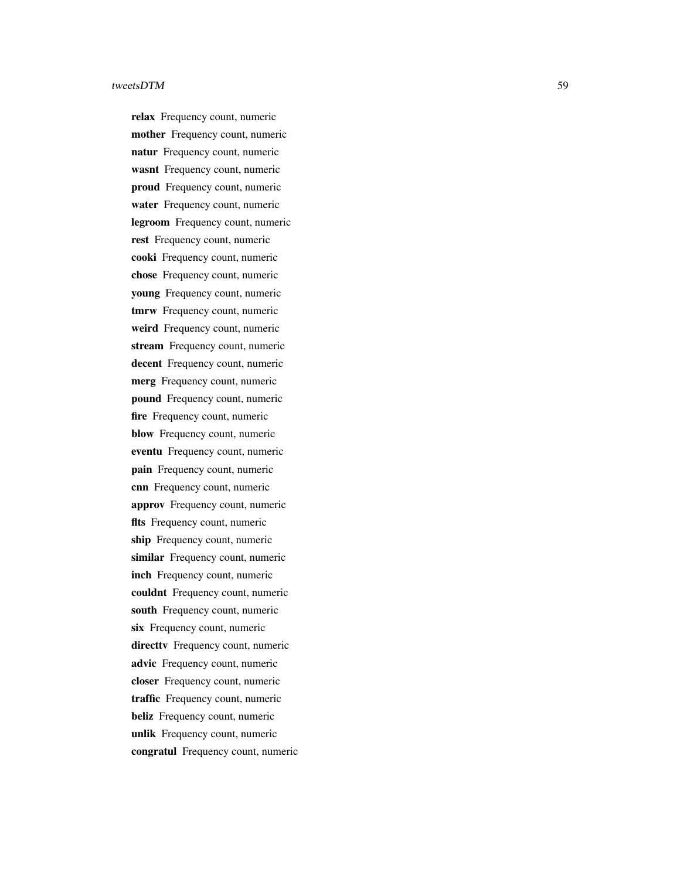relax Frequency count, numeric mother Frequency count, numeric natur Frequency count, numeric wasnt Frequency count, numeric proud Frequency count, numeric water Frequency count, numeric legroom Frequency count, numeric rest Frequency count, numeric cooki Frequency count, numeric chose Frequency count, numeric young Frequency count, numeric tmrw Frequency count, numeric weird Frequency count, numeric stream Frequency count, numeric decent Frequency count, numeric merg Frequency count, numeric pound Frequency count, numeric fire Frequency count, numeric blow Frequency count, numeric eventu Frequency count, numeric pain Frequency count, numeric cnn Frequency count, numeric approv Frequency count, numeric flts Frequency count, numeric ship Frequency count, numeric similar Frequency count, numeric inch Frequency count, numeric couldnt Frequency count, numeric south Frequency count, numeric six Frequency count, numeric directty Frequency count, numeric advic Frequency count, numeric closer Frequency count, numeric traffic Frequency count, numeric beliz Frequency count, numeric unlik Frequency count, numeric congratul Frequency count, numeric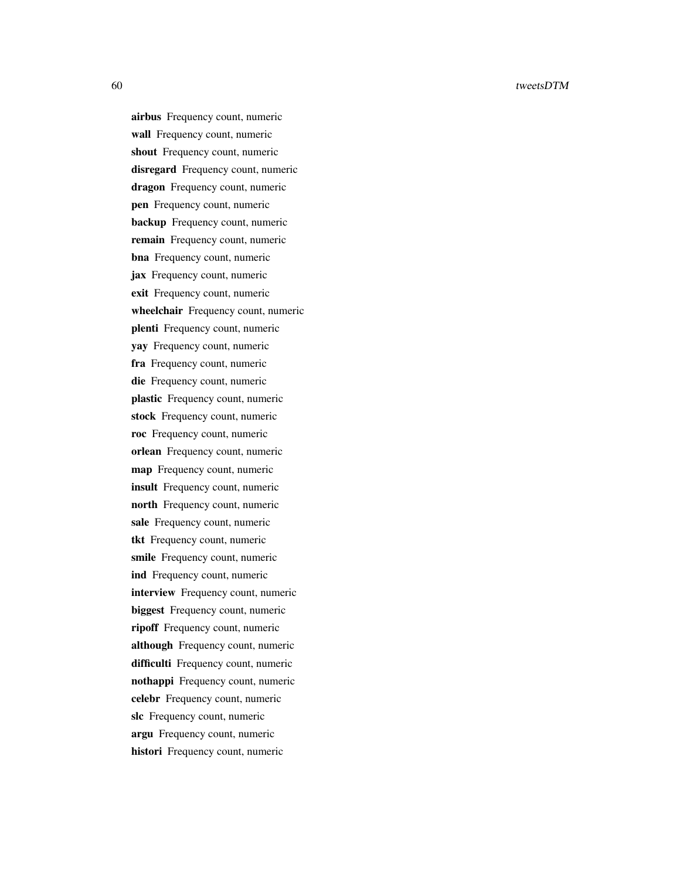airbus Frequency count, numeric wall Frequency count, numeric shout Frequency count, numeric disregard Frequency count, numeric dragon Frequency count, numeric pen Frequency count, numeric backup Frequency count, numeric remain Frequency count, numeric bna Frequency count, numeric jax Frequency count, numeric exit Frequency count, numeric wheelchair Frequency count, numeric plenti Frequency count, numeric yay Frequency count, numeric fra Frequency count, numeric die Frequency count, numeric plastic Frequency count, numeric stock Frequency count, numeric roc Frequency count, numeric orlean Frequency count, numeric map Frequency count, numeric insult Frequency count, numeric north Frequency count, numeric sale Frequency count, numeric tkt Frequency count, numeric smile Frequency count, numeric ind Frequency count, numeric interview Frequency count, numeric biggest Frequency count, numeric ripoff Frequency count, numeric although Frequency count, numeric difficulti Frequency count, numeric nothappi Frequency count, numeric celebr Frequency count, numeric slc Frequency count, numeric argu Frequency count, numeric histori Frequency count, numeric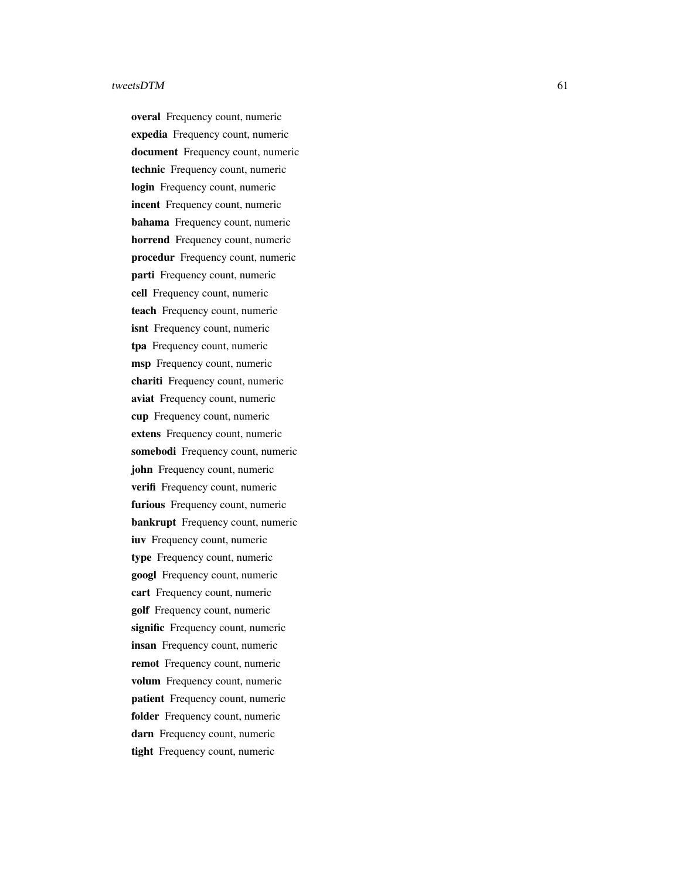overal Frequency count, numeric expedia Frequency count, numeric document Frequency count, numeric technic Frequency count, numeric login Frequency count, numeric incent Frequency count, numeric bahama Frequency count, numeric horrend Frequency count, numeric procedur Frequency count, numeric parti Frequency count, numeric cell Frequency count, numeric teach Frequency count, numeric isnt Frequency count, numeric tpa Frequency count, numeric msp Frequency count, numeric chariti Frequency count, numeric aviat Frequency count, numeric cup Frequency count, numeric extens Frequency count, numeric somebodi Frequency count, numeric john Frequency count, numeric verifi Frequency count, numeric furious Frequency count, numeric bankrupt Frequency count, numeric iuv Frequency count, numeric type Frequency count, numeric googl Frequency count, numeric cart Frequency count, numeric golf Frequency count, numeric signific Frequency count, numeric insan Frequency count, numeric remot Frequency count, numeric volum Frequency count, numeric patient Frequency count, numeric folder Frequency count, numeric darn Frequency count, numeric tight Frequency count, numeric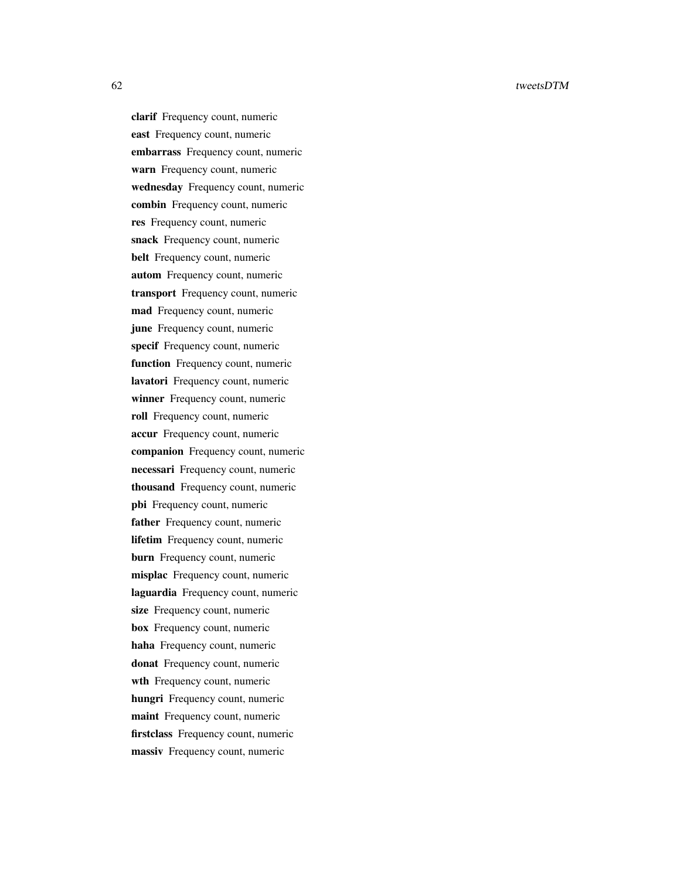clarif Frequency count, numeric east Frequency count, numeric embarrass Frequency count, numeric warn Frequency count, numeric wednesday Frequency count, numeric combin Frequency count, numeric res Frequency count, numeric snack Frequency count, numeric belt Frequency count, numeric autom Frequency count, numeric transport Frequency count, numeric mad Frequency count, numeric june Frequency count, numeric specif Frequency count, numeric function Frequency count, numeric lavatori Frequency count, numeric winner Frequency count, numeric roll Frequency count, numeric accur Frequency count, numeric companion Frequency count, numeric necessari Frequency count, numeric thousand Frequency count, numeric pbi Frequency count, numeric father Frequency count, numeric lifetim Frequency count, numeric burn Frequency count, numeric misplac Frequency count, numeric laguardia Frequency count, numeric size Frequency count, numeric box Frequency count, numeric haha Frequency count, numeric donat Frequency count, numeric wth Frequency count, numeric hungri Frequency count, numeric maint Frequency count, numeric firstclass Frequency count, numeric massiv Frequency count, numeric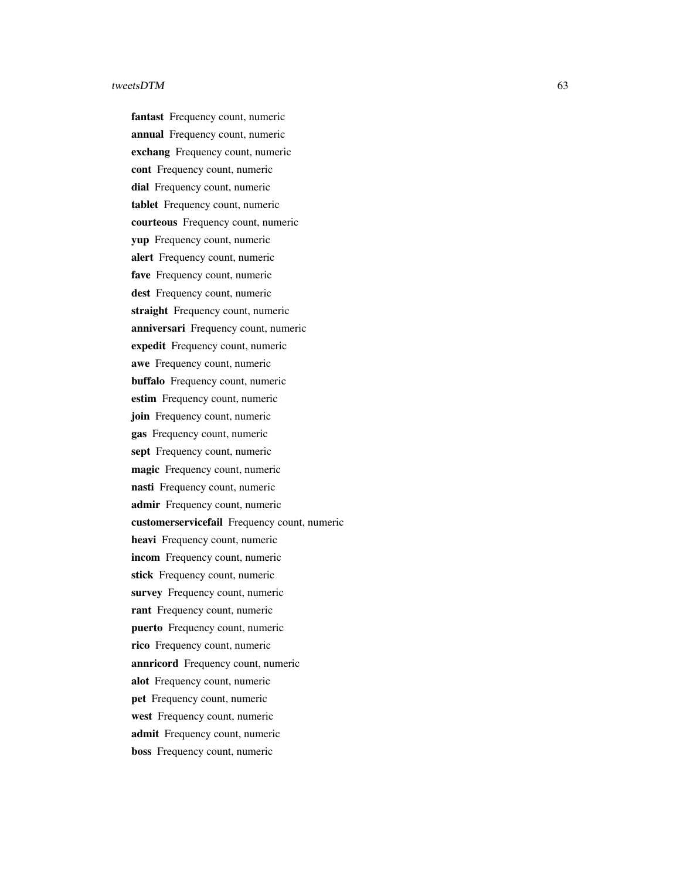fantast Frequency count, numeric annual Frequency count, numeric exchang Frequency count, numeric cont Frequency count, numeric dial Frequency count, numeric tablet Frequency count, numeric courteous Frequency count, numeric yup Frequency count, numeric alert Frequency count, numeric fave Frequency count, numeric dest Frequency count, numeric straight Frequency count, numeric anniversari Frequency count, numeric expedit Frequency count, numeric awe Frequency count, numeric buffalo Frequency count, numeric estim Frequency count, numeric join Frequency count, numeric gas Frequency count, numeric sept Frequency count, numeric magic Frequency count, numeric nasti Frequency count, numeric admir Frequency count, numeric customerservicefail Frequency count, numeric heavi Frequency count, numeric incom Frequency count, numeric stick Frequency count, numeric survey Frequency count, numeric rant Frequency count, numeric puerto Frequency count, numeric rico Frequency count, numeric annricord Frequency count, numeric alot Frequency count, numeric pet Frequency count, numeric west Frequency count, numeric admit Frequency count, numeric boss Frequency count, numeric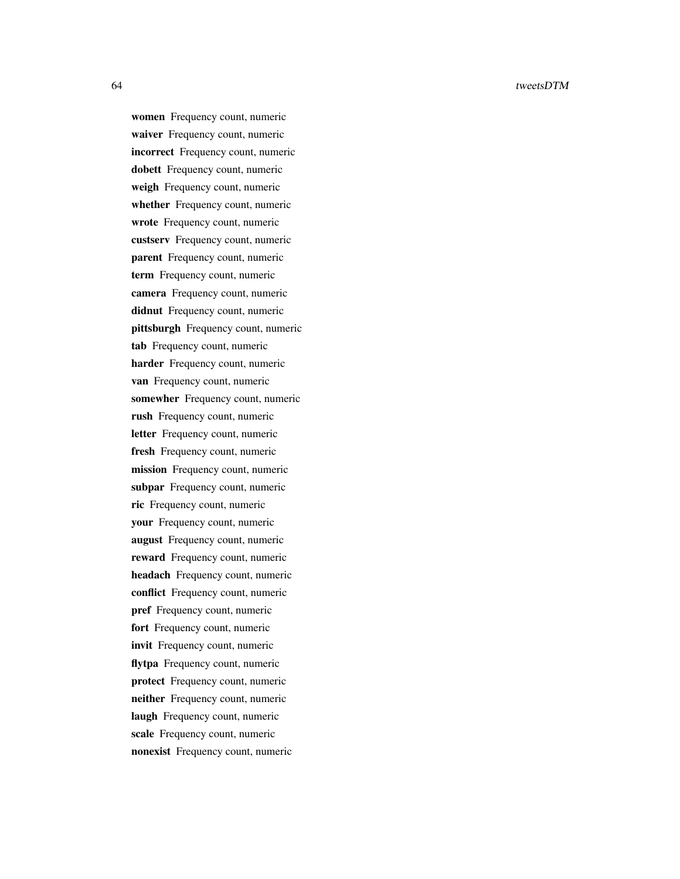women Frequency count, numeric waiver Frequency count, numeric incorrect Frequency count, numeric dobett Frequency count, numeric weigh Frequency count, numeric whether Frequency count, numeric wrote Frequency count, numeric custserv Frequency count, numeric parent Frequency count, numeric term Frequency count, numeric camera Frequency count, numeric didnut Frequency count, numeric pittsburgh Frequency count, numeric tab Frequency count, numeric harder Frequency count, numeric van Frequency count, numeric somewher Frequency count, numeric rush Frequency count, numeric letter Frequency count, numeric fresh Frequency count, numeric mission Frequency count, numeric subpar Frequency count, numeric ric Frequency count, numeric your Frequency count, numeric august Frequency count, numeric reward Frequency count, numeric headach Frequency count, numeric conflict Frequency count, numeric pref Frequency count, numeric fort Frequency count, numeric invit Frequency count, numeric flytpa Frequency count, numeric protect Frequency count, numeric neither Frequency count, numeric laugh Frequency count, numeric scale Frequency count, numeric nonexist Frequency count, numeric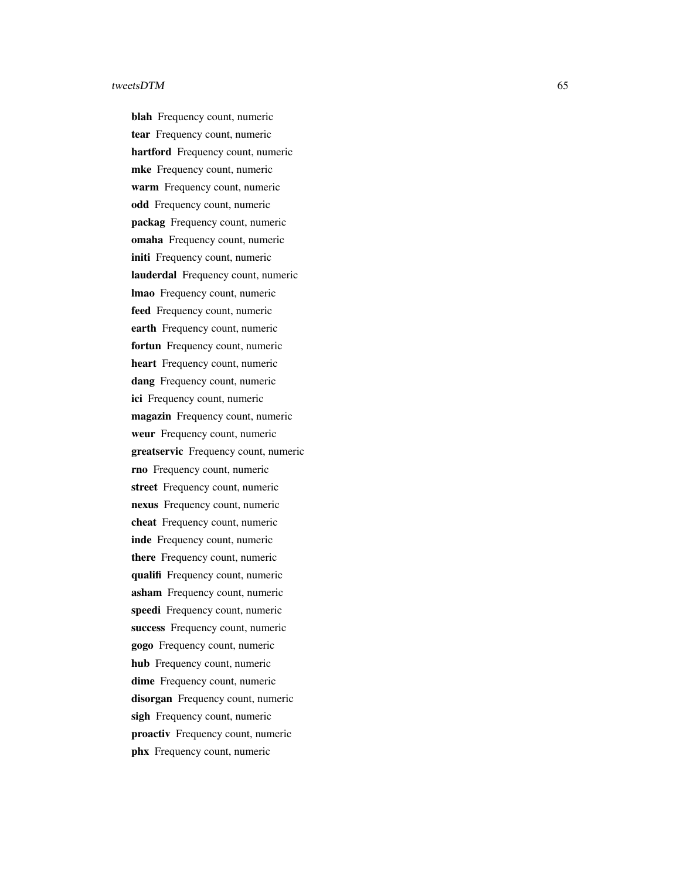blah Frequency count, numeric tear Frequency count, numeric hartford Frequency count, numeric mke Frequency count, numeric warm Frequency count, numeric odd Frequency count, numeric packag Frequency count, numeric omaha Frequency count, numeric initi Frequency count, numeric lauderdal Frequency count, numeric lmao Frequency count, numeric feed Frequency count, numeric earth Frequency count, numeric fortun Frequency count, numeric heart Frequency count, numeric dang Frequency count, numeric ici Frequency count, numeric magazin Frequency count, numeric weur Frequency count, numeric greatservic Frequency count, numeric rno Frequency count, numeric street Frequency count, numeric nexus Frequency count, numeric cheat Frequency count, numeric inde Frequency count, numeric there Frequency count, numeric qualifi Frequency count, numeric asham Frequency count, numeric speedi Frequency count, numeric success Frequency count, numeric gogo Frequency count, numeric hub Frequency count, numeric dime Frequency count, numeric disorgan Frequency count, numeric sigh Frequency count, numeric proactiv Frequency count, numeric phx Frequency count, numeric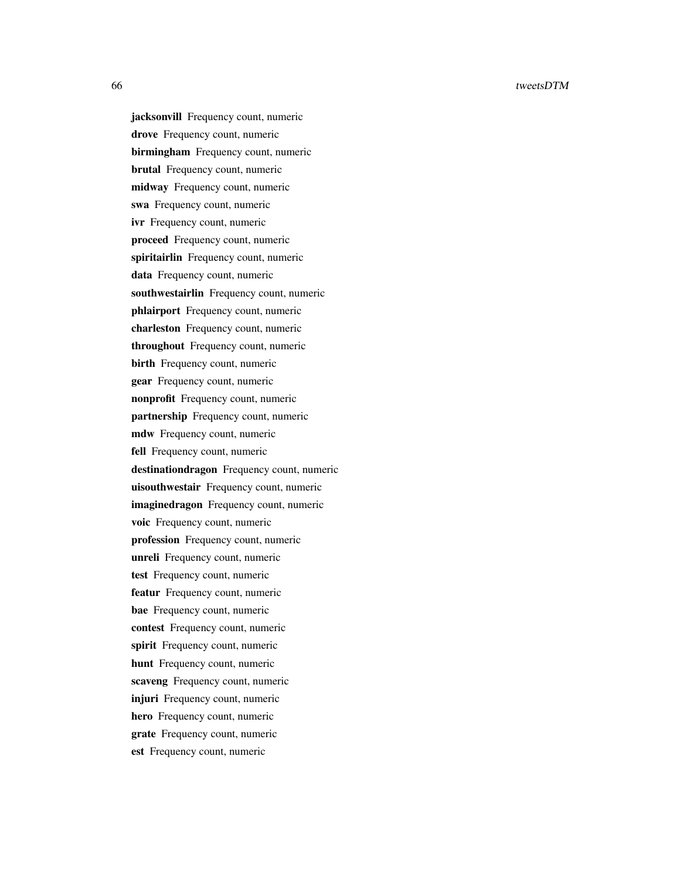jacksonvill Frequency count, numeric drove Frequency count, numeric birmingham Frequency count, numeric brutal Frequency count, numeric midway Frequency count, numeric swa Frequency count, numeric ivr Frequency count, numeric proceed Frequency count, numeric spiritairlin Frequency count, numeric data Frequency count, numeric southwestairlin Frequency count, numeric phlairport Frequency count, numeric charleston Frequency count, numeric throughout Frequency count, numeric birth Frequency count, numeric gear Frequency count, numeric nonprofit Frequency count, numeric partnership Frequency count, numeric mdw Frequency count, numeric fell Frequency count, numeric destinationdragon Frequency count, numeric uisouthwestair Frequency count, numeric imaginedragon Frequency count, numeric voic Frequency count, numeric profession Frequency count, numeric unreli Frequency count, numeric test Frequency count, numeric featur Frequency count, numeric bae Frequency count, numeric contest Frequency count, numeric spirit Frequency count, numeric hunt Frequency count, numeric scaveng Frequency count, numeric injuri Frequency count, numeric hero Frequency count, numeric grate Frequency count, numeric est Frequency count, numeric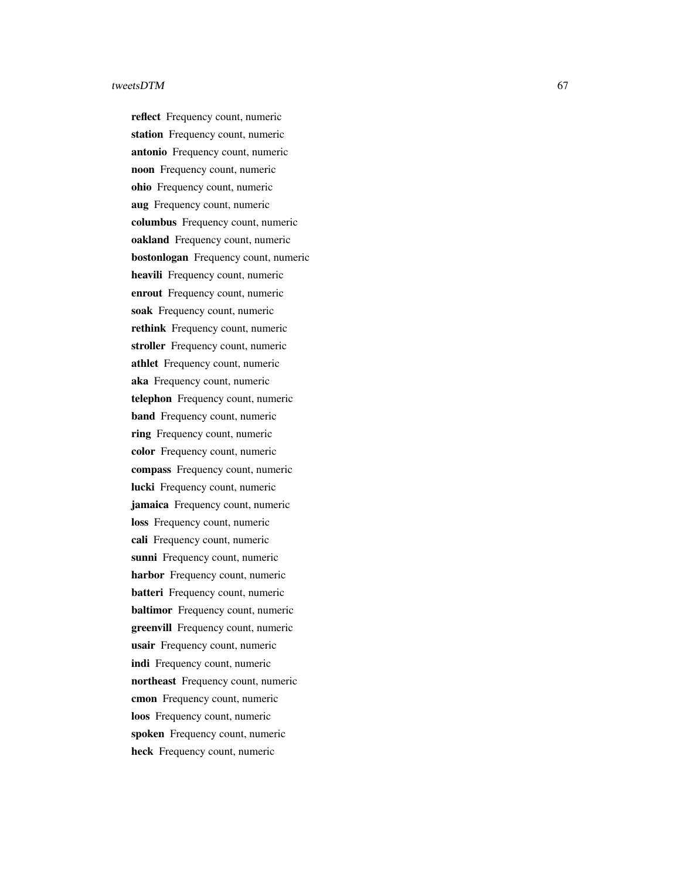reflect Frequency count, numeric station Frequency count, numeric antonio Frequency count, numeric noon Frequency count, numeric ohio Frequency count, numeric aug Frequency count, numeric columbus Frequency count, numeric oakland Frequency count, numeric bostonlogan Frequency count, numeric heavili Frequency count, numeric enrout Frequency count, numeric soak Frequency count, numeric rethink Frequency count, numeric stroller Frequency count, numeric athlet Frequency count, numeric aka Frequency count, numeric telephon Frequency count, numeric band Frequency count, numeric ring Frequency count, numeric color Frequency count, numeric compass Frequency count, numeric lucki Frequency count, numeric jamaica Frequency count, numeric loss Frequency count, numeric cali Frequency count, numeric sunni Frequency count, numeric harbor Frequency count, numeric batteri Frequency count, numeric baltimor Frequency count, numeric greenvill Frequency count, numeric usair Frequency count, numeric indi Frequency count, numeric northeast Frequency count, numeric cmon Frequency count, numeric loos Frequency count, numeric spoken Frequency count, numeric heck Frequency count, numeric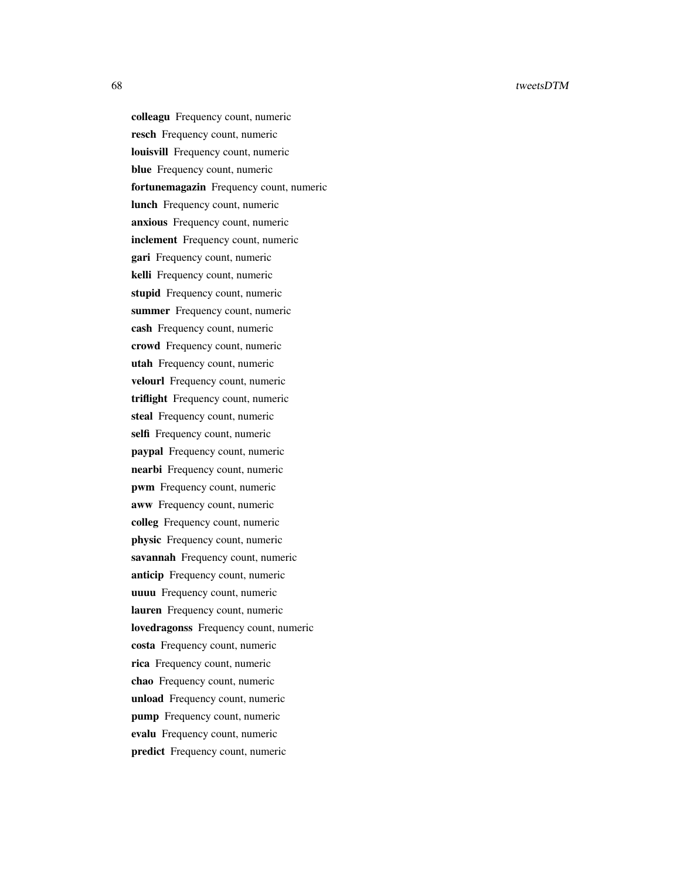colleagu Frequency count, numeric resch Frequency count, numeric louisvill Frequency count, numeric blue Frequency count, numeric fortunemagazin Frequency count, numeric lunch Frequency count, numeric anxious Frequency count, numeric inclement Frequency count, numeric gari Frequency count, numeric kelli Frequency count, numeric stupid Frequency count, numeric summer Frequency count, numeric cash Frequency count, numeric crowd Frequency count, numeric utah Frequency count, numeric velourl Frequency count, numeric triflight Frequency count, numeric steal Frequency count, numeric selfi Frequency count, numeric paypal Frequency count, numeric nearbi Frequency count, numeric pwm Frequency count, numeric aww Frequency count, numeric colleg Frequency count, numeric physic Frequency count, numeric savannah Frequency count, numeric anticip Frequency count, numeric uuuu Frequency count, numeric lauren Frequency count, numeric lovedragonss Frequency count, numeric costa Frequency count, numeric rica Frequency count, numeric chao Frequency count, numeric unload Frequency count, numeric pump Frequency count, numeric evalu Frequency count, numeric predict Frequency count, numeric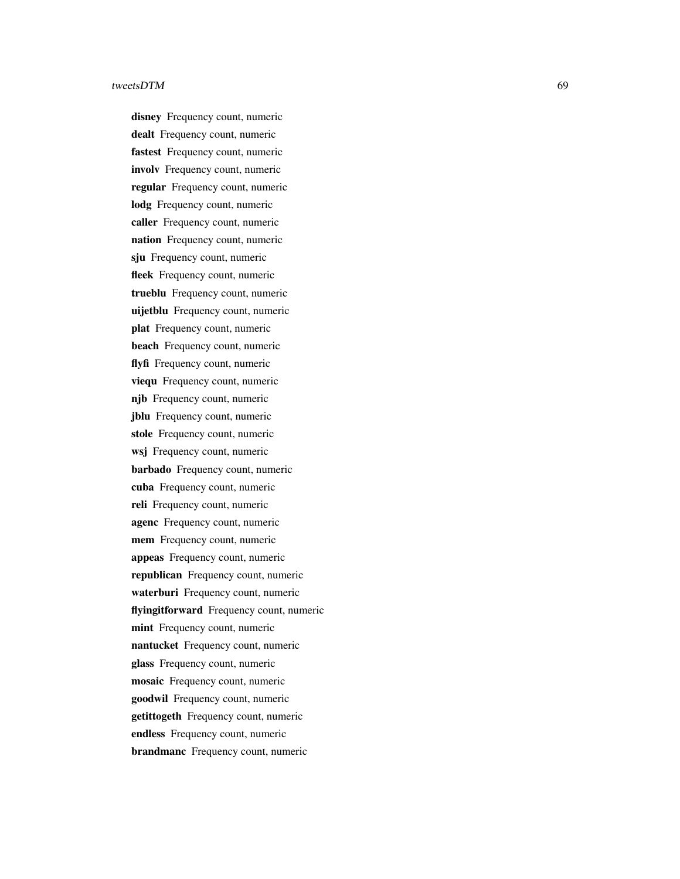disney Frequency count, numeric dealt Frequency count, numeric fastest Frequency count, numeric involv Frequency count, numeric regular Frequency count, numeric lodg Frequency count, numeric caller Frequency count, numeric nation Frequency count, numeric sju Frequency count, numeric fleek Frequency count, numeric trueblu Frequency count, numeric uijetblu Frequency count, numeric plat Frequency count, numeric beach Frequency count, numeric flyfi Frequency count, numeric viequ Frequency count, numeric njb Frequency count, numeric jblu Frequency count, numeric stole Frequency count, numeric wsj Frequency count, numeric barbado Frequency count, numeric cuba Frequency count, numeric reli Frequency count, numeric agenc Frequency count, numeric mem Frequency count, numeric appeas Frequency count, numeric republican Frequency count, numeric waterburi Frequency count, numeric flyingitforward Frequency count, numeric mint Frequency count, numeric nantucket Frequency count, numeric glass Frequency count, numeric mosaic Frequency count, numeric goodwil Frequency count, numeric getittogeth Frequency count, numeric endless Frequency count, numeric brandmanc Frequency count, numeric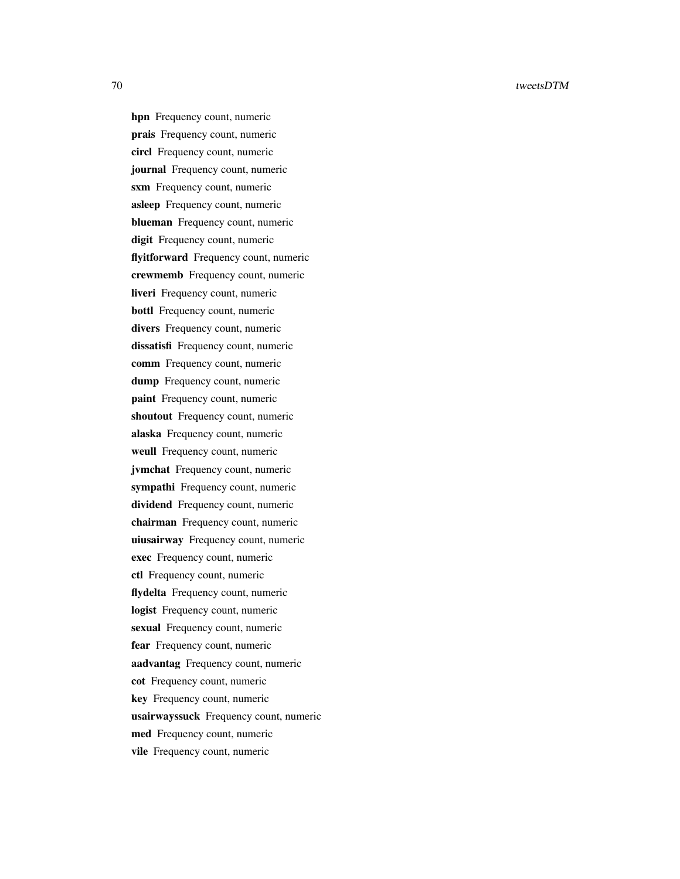hpn Frequency count, numeric prais Frequency count, numeric circl Frequency count, numeric journal Frequency count, numeric sxm Frequency count, numeric asleep Frequency count, numeric blueman Frequency count, numeric digit Frequency count, numeric flyitforward Frequency count, numeric crewmemb Frequency count, numeric liveri Frequency count, numeric bottl Frequency count, numeric divers Frequency count, numeric dissatisfi Frequency count, numeric comm Frequency count, numeric dump Frequency count, numeric paint Frequency count, numeric shoutout Frequency count, numeric alaska Frequency count, numeric weull Frequency count, numeric jvmchat Frequency count, numeric sympathi Frequency count, numeric dividend Frequency count, numeric chairman Frequency count, numeric uiusairway Frequency count, numeric exec Frequency count, numeric ctl Frequency count, numeric flydelta Frequency count, numeric logist Frequency count, numeric sexual Frequency count, numeric fear Frequency count, numeric aadvantag Frequency count, numeric cot Frequency count, numeric key Frequency count, numeric usairwayssuck Frequency count, numeric med Frequency count, numeric vile Frequency count, numeric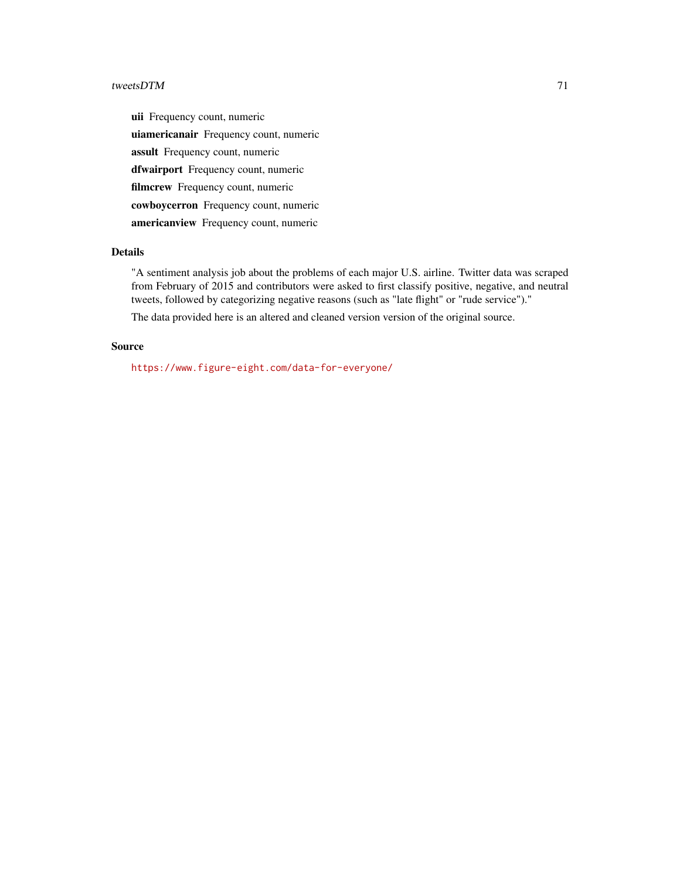uii Frequency count, numeric uiamericanair Frequency count, numeric assult Frequency count, numeric dfwairport Frequency count, numeric filmcrew Frequency count, numeric cowboycerron Frequency count, numeric americanview Frequency count, numeric

## Details

"A sentiment analysis job about the problems of each major U.S. airline. Twitter data was scraped from February of 2015 and contributors were asked to first classify positive, negative, and neutral tweets, followed by categorizing negative reasons (such as "late flight" or "rude service")."

The data provided here is an altered and cleaned version version of the original source.

## Source

<https://www.figure-eight.com/data-for-everyone/>